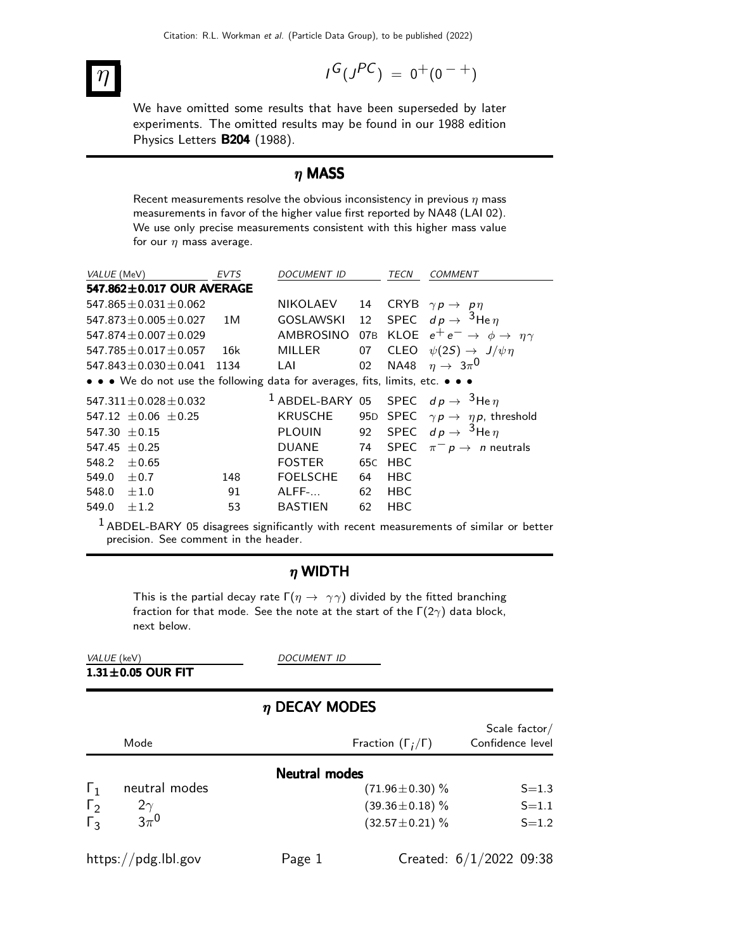# $\eta$  and  $\eta$  and  $\eta$  and  $\eta$  and  $\eta$  and  $\eta$

$$
I^G(J^{PC})\ =\ 0^+(0^{\ -\ +})
$$

We have omitted some results that have been superseded by later experiments. The omitted results may be found in our 1988 edition Physics Letters B204 (1988).

### $η$  MASS

Recent measurements resolve the obvious inconsistency in previous  $\eta$  mass measurements in favor of the higher value first reported by NA48 (LAI 02). We use only precise measurements consistent with this higher mass value for our  $\eta$  mass average.

| VALUE (MeV)                                                                   | <b>EVTS</b> | <b>DOCUMENT ID</b>                                           |                 | TECN        | COMMENT                                                |
|-------------------------------------------------------------------------------|-------------|--------------------------------------------------------------|-----------------|-------------|--------------------------------------------------------|
| 547.862±0.017 OUR AVERAGE                                                     |             |                                                              |                 |             |                                                        |
| 547.865 $\pm$ 0.031 $\pm$ 0.062                                               |             | <b>NIKOLAEV</b>                                              | 14              | <b>CRYB</b> | $\gamma p \rightarrow p \eta$                          |
| $547.873 + 0.005 + 0.027$                                                     | 1 M         | <b>GOSLAWSKI</b>                                             | 12              |             | SPEC $dp \rightarrow 3$ He $\eta$                      |
| $547.874 \pm 0.007 \pm 0.029$                                                 |             | <b>AMBROSINO</b>                                             | 07 <sub>B</sub> |             | KLOE $e^+e^- \rightarrow \phi \rightarrow \eta \gamma$ |
| $547.785 \pm 0.017 \pm 0.057$                                                 | 16k         | <b>MILLER</b>                                                | 07              | <b>CLEO</b> | $\psi(2S) \rightarrow J/\psi \eta$                     |
| $547.843 \pm 0.030 \pm 0.041$                                                 | 1134        | LAI                                                          | 02              | <b>NA48</b> | $\eta \rightarrow 3\pi^0$                              |
| • • • We do not use the following data for averages, fits, limits, etc. • • • |             |                                                              |                 |             |                                                        |
| $547.311 \pm 0.028 \pm 0.032$                                                 |             | <sup>1</sup> ABDEL-BARY 05 SPEC $dp \rightarrow 3$ He $\eta$ |                 |             |                                                        |
| 547.12 $\pm$ 0.06 $\pm$ 0.25                                                  |             | <b>KRUSCHE</b>                                               | 95D             | <b>SPEC</b> | $\gamma p \rightarrow \eta p$ , threshold              |
| $547.30 + 0.15$                                                               |             | <b>PLOUIN</b>                                                | 92              |             | SPEC $dp \rightarrow {}^{3}$ He $\eta$                 |
| $547.45 + 0.25$                                                               |             | <b>DUANE</b>                                                 | 74              | <b>SPEC</b> | $\pi^- p \to n$ neutrals                               |
| 548.2<br>$+0.65$                                                              |             | <b>FOSTER</b>                                                | 65C             | <b>HBC</b>  |                                                        |
| 549.0<br>$\pm 0.7$                                                            | 148         | <b>FOELSCHE</b>                                              | 64              | <b>HBC</b>  |                                                        |
| 548.0<br>$\pm 1.0$                                                            | 91          | $ALFF-.$                                                     | 62              | <b>HBC</b>  |                                                        |
| 549.0<br>$\pm 1.2$                                                            | 53          | <b>BASTIEN</b>                                               | 62              | <b>HBC</b>  |                                                        |

 $1$  ABDEL-BARY 05 disagrees significantly with recent measurements of similar or better precision. See comment in the header.

#### $\eta$  WIDTH

This is the partial decay rate  $\Gamma(\eta \to \gamma \gamma)$  divided by the fitted branching fraction for that mode. See the note at the start of the  $\Gamma(2\gamma)$  data block, next below.

| VALUE (keV)             |  |  |
|-------------------------|--|--|
| $1.31 \pm 0.05$ OUR FIT |  |  |

DOCUMENT ID

#### $\eta$  DECAY MODES

| Mode                          | Fraction $(\Gamma_i/\Gamma)$ | Scale factor/<br>Confidence level |
|-------------------------------|------------------------------|-----------------------------------|
|                               | <b>Neutral modes</b>         |                                   |
| neutral modes<br>$\mathbf{I}$ | $(71.96 \pm 0.30)$ %         | $S = 1.3$                         |
| $\Gamma_2$<br>$2\gamma$       | $(39.36 \pm 0.18)$ %         | $S = 1.1$                         |
| $3\pi^0$<br>$\Gamma_3$        | $(32.57 \pm 0.21)$ %         | $S = 1.2$                         |
| https://pdg.lbl.gov           | Page 1                       | Created: $6/1/2022$ 09:38         |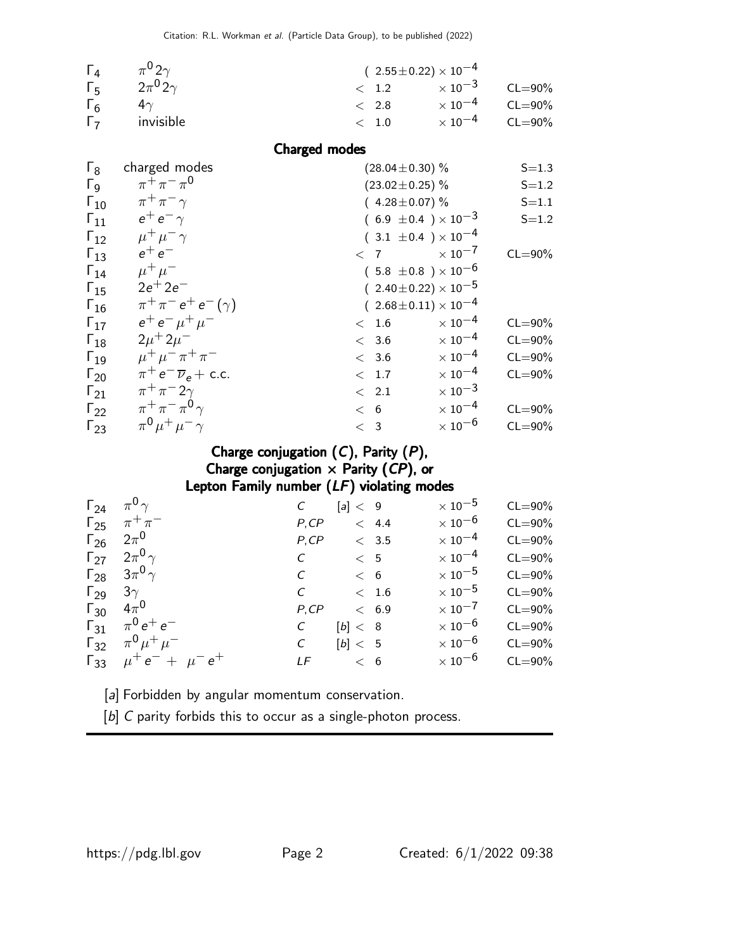| $\Gamma_{4}$ | $\pi^{0}2\gamma$    | $(2.55 \pm 0.22) \times 10^{-4}$ |                                  |             |
|--------------|---------------------|----------------------------------|----------------------------------|-------------|
| $\Gamma_{5}$ | $2\pi^0$ 2 $\gamma$ | $\langle 1.2 \rangle$            | $\times$ 10 <sup>-3</sup> CL=90% |             |
| $\Gamma_6$   | 4 $\gamma$          | $\langle$ 2.8                    | $\times$ 10 $^{-4}$              | $CL = 90\%$ |
| $\Gamma$     | invisible           | $<$ 1.0                          | $\times$ 10 $^{-4}$              | $CL = 90\%$ |

Charged modes

| charged modes                       | $(28.04 \pm 0.30)$ %                                  | $S = 1.3$                                                                                                                                                                                                                                                                                                                                                                                              |
|-------------------------------------|-------------------------------------------------------|--------------------------------------------------------------------------------------------------------------------------------------------------------------------------------------------------------------------------------------------------------------------------------------------------------------------------------------------------------------------------------------------------------|
| $\pi^{+}\pi^{-}\pi^{0}$             | $(23.02 \pm 0.25)$ %                                  | $S = 1.2$                                                                                                                                                                                                                                                                                                                                                                                              |
| $\pi^+\pi^-\gamma$                  | $(4.28 \pm 0.07)\%$                                   | $S = 1.1$                                                                                                                                                                                                                                                                                                                                                                                              |
| $e^+e^-\gamma$                      |                                                       | $S = 1.2$                                                                                                                                                                                                                                                                                                                                                                                              |
| $\mu^+ \mu^- \gamma$                |                                                       |                                                                                                                                                                                                                                                                                                                                                                                                        |
| $e^+e^-$                            | < 7                                                   | $CL = 90\%$                                                                                                                                                                                                                                                                                                                                                                                            |
| $\mu^+ \mu^-$                       |                                                       |                                                                                                                                                                                                                                                                                                                                                                                                        |
| $2e^{+}$ $2e^{-}$                   |                                                       |                                                                                                                                                                                                                                                                                                                                                                                                        |
| $\pi^{+}\pi^{-}e^{+}e^{-}(\gamma)$  |                                                       |                                                                                                                                                                                                                                                                                                                                                                                                        |
| $e^+e^-\mu^+\mu^-$                  | < 1.6                                                 | $CL = 90\%$                                                                                                                                                                                                                                                                                                                                                                                            |
| $2\mu + 2\mu$ <sup>-</sup>          | < 3.6                                                 | $CL = 90\%$                                                                                                                                                                                                                                                                                                                                                                                            |
| $\mu^+ \mu^- \pi^+ \pi^-$           | < 3.6                                                 | $CL = 90\%$                                                                                                                                                                                                                                                                                                                                                                                            |
| $\pi^+ e^- \overline{\nu}_e$ + c.c. | < 1.7                                                 | $CL = 90\%$                                                                                                                                                                                                                                                                                                                                                                                            |
| $\pi^+\pi^-2\gamma$                 | < 2.1                                                 |                                                                                                                                                                                                                                                                                                                                                                                                        |
|                                     | < 6                                                   | $CL = 90\%$                                                                                                                                                                                                                                                                                                                                                                                            |
|                                     | < 3                                                   | $CL = 90\%$                                                                                                                                                                                                                                                                                                                                                                                            |
|                                     | $\pi^+\pi^-\pi^0\gamma$<br>$\pi^0 \mu^+ \mu^- \gamma$ | $(6.9 \pm 0.4) \times 10^{-3}$<br>$(3.1 \pm 0.4) \times 10^{-4}$<br>$\times$ 10 <sup>-7</sup><br>$(5.8 \pm 0.8) \times 10^{-6}$<br>$(2.40 \pm 0.22) \times 10^{-5}$<br>$(2.68 \pm 0.11) \times 10^{-4}$<br>$\times$ 10 <sup>-4</sup><br>$\times$ 10 <sup>-4</sup><br>$\times$ 10 $^{-4}$<br>$\times$ 10 <sup>-4</sup><br>$\times$ 10 <sup>-3</sup><br>$\times$ 10 <sup>-4</sup><br>$\times$ 10 $^{-6}$ |

#### Charge conjugation  $(C)$ , Parity  $(P)$ , Charge conjugation  $\times$  Parity (CP), or Lepton Family number (LF) violating modes

| $\Gamma_{24}$ $\pi^0 \gamma$  |                                     | $\mathcal{C}$ | [a] < 9 |     |               | $\times$ 10 $^{-5}$       | $CL = 90\%$ |
|-------------------------------|-------------------------------------|---------------|---------|-----|---------------|---------------------------|-------------|
|                               | $\Gamma_{25}$ $\pi^{+}\pi^{-}$      | P, CP         | < 4.4   |     |               | $\times$ 10 $^{-6}$       | $CL = 90\%$ |
| $\Gamma_{26}$ $2\pi^0$        |                                     | P, CP         |         |     | $\langle$ 3.5 | $\times$ 10 <sup>-4</sup> | $CL = 90\%$ |
|                               | $\Gamma_{27}$ $2\pi^{0}\gamma$      | $C \t 5$      |         |     |               | $\times$ 10 $^{-4}$       | $CL = 90\%$ |
|                               | $\Gamma_{28}$ $3\pi^{0}\gamma$      | $\mathcal{C}$ |         | < 6 |               | $\times$ 10 $^{-5}$       | $CL = 90\%$ |
|                               | $\Gamma_{29}$ 3 $\gamma$            | $C \t\t 1.6$  |         |     |               | $\times$ 10 $^{-5}$       | $CL = 90\%$ |
| $\Gamma_{30}$ 4π <sup>0</sup> |                                     | P, CP         | < 6.9   |     |               | $\times$ 10 $^{-7}$       | $CL = 90\%$ |
|                               | $\Gamma_{31}$ $\pi^0 e^+ e^-$       | $\mathcal{C}$ | [b]< 8  |     |               | $\times$ 10 $^{-6}$       | $CL = 90\%$ |
|                               | $\Gamma_{32}$ $\pi^0 \mu^+ \mu^-$   | $\mathcal{C}$ | [b] < 5 |     |               | $\times$ 10 $^{-6}$       | $CL = 90\%$ |
|                               | $\Gamma_{33}$ $\mu^+e^- + \mu^-e^+$ | LF < 6        |         |     |               | $\times$ 10 $^{-6}$       | $CL = 90\%$ |
|                               |                                     |               |         |     |               |                           |             |

[a] Forbidden by angular momentum conservation.

[b] C parity forbids this to occur as a single-photon process.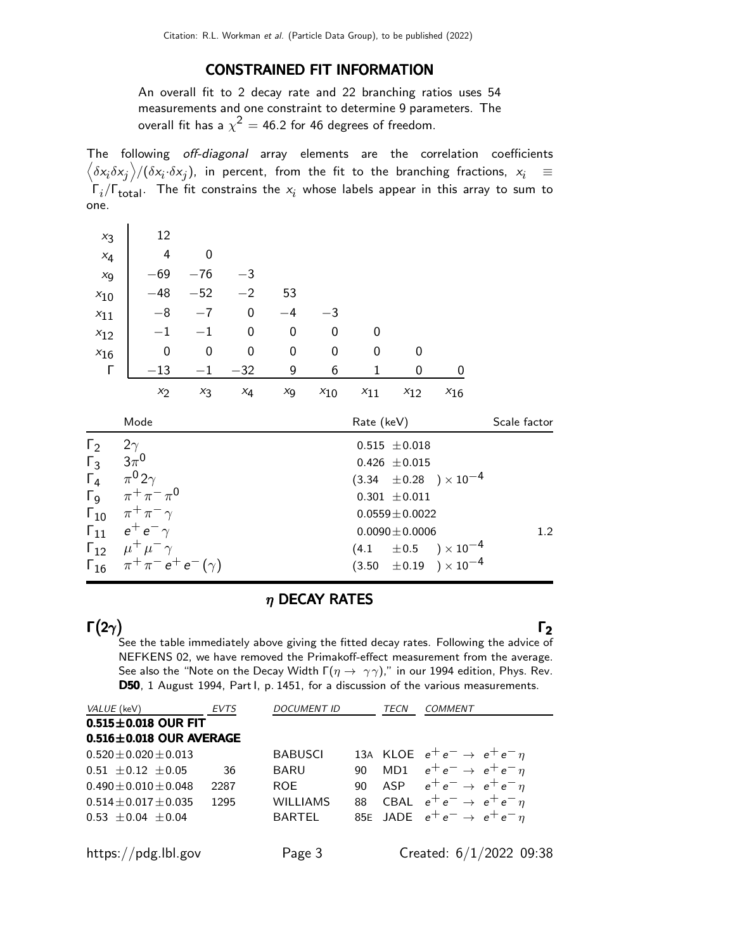#### CONSTRAINED FIT INFORMATION

An overall fit to 2 decay rate and 22 branching ratios uses 54 measurements and one constraint to determine 9 parameters. The overall fit has a  $\chi^2 =$  46.2 for 46 degrees of freedom.

The following off-diagonal array elements are the correlation coefficients  $\left<\delta x_i\delta x_j\right>$ / $(\delta x_i\cdot\delta x_j)$ , in percent, from the fit to the branching fractions,  $x_i$   $\;\equiv$  $\Gamma_i/\Gamma_{\rm total}$ . The fit constrains the  $x_i$  whose labels appear in this array to sum to one.

| $x_3$                 |           | 12                                               |                  |       |             |             |             |                     |                                  |              |
|-----------------------|-----------|--------------------------------------------------|------------------|-------|-------------|-------------|-------------|---------------------|----------------------------------|--------------|
| $x_4$                 |           | 4                                                | $\boldsymbol{0}$ |       |             |             |             |                     |                                  |              |
| $x_9$                 |           | $-69$                                            | $-76$            | $-3$  |             |             |             |                     |                                  |              |
| $x_{10}$              |           | $-48$                                            | $-52$            | $-2$  | 53          |             |             |                     |                                  |              |
| $x_{11}$              |           | $-8$                                             | $-7$             | 0     | $-4$        | $-3$        |             |                     |                                  |              |
| $x_{12}$              |           | $-1$                                             | $-1$             | 0     | $\mathbf 0$ | $\mathbf 0$ | 0           |                     |                                  |              |
| $x_{16}$              |           | $\mathbf 0$                                      | $\mathbf 0$      | 0     | $\mathbf 0$ | $\mathbf 0$ | 0           | 0                   |                                  |              |
| Г                     |           | $-13$                                            | $-1$             | $-32$ | 9           | 6           | $\mathbf 1$ | 0                   | 0                                |              |
|                       |           | $x_2$                                            | $x_3$            | $x_4$ | $x_9$       | $x_{10}$    | $x_{11}$    | $x_{12}$            | $x_{16}$                         |              |
|                       |           | Mode                                             |                  |       |             |             | Rate (keV)  |                     |                                  | Scale factor |
| $\Gamma_2$            | $2\gamma$ |                                                  |                  |       |             |             |             | $0.515 \pm 0.018$   |                                  |              |
| $\mathsf{\Gamma}_3^-$ |           | $3\pi^0$                                         |                  |       |             |             |             | $0.426 \pm 0.015$   |                                  |              |
| $\Gamma_4$            |           | $\pi^0 2\gamma$                                  |                  |       |             |             |             |                     | $(3.34 \pm 0.28) \times 10^{-4}$ |              |
|                       |           | $Γ_9$ $\pi^+ \pi^- \pi^0$                        |                  |       |             |             |             | $0.301 \pm 0.011$   |                                  |              |
|                       |           | $\Gamma_{10}$ $\pi^+\pi^-\gamma$                 |                  |       |             |             |             | $0.0559 \pm 0.0022$ |                                  |              |
|                       |           | $\mathsf{\Gamma}_{11}$ $e^+e^-\gamma$            |                  |       |             |             |             | $0.0090 \pm 0.0006$ |                                  | 1.2          |
|                       |           | $\Gamma_{12}$ $\mu^+ \mu^- \gamma$               |                  |       |             |             | (4.1)       |                     | $\pm\,0.5$ $\rm{)}\times10^{-4}$ |              |
|                       |           | $\Gamma_{16}$ $\pi^{+}\pi^{-}e^{+}e^{-}(\gamma)$ |                  |       |             |             |             |                     |                                  |              |
|                       |           |                                                  |                  |       |             |             |             |                     | $(3.50 \pm 0.19) \times 10^{-4}$ |              |

#### $\eta$  DECAY RATES

#### $\Gamma(2\gamma)$ Γ $(2\gamma)$  Γ $_2$ Γ $(2\gamma)$  Γ Γ

Γ(2 $\gamma$ ) Γ<sub>2</sub> See the table immediately above giving the fitted decay rates. Following the advice of NEFKENS 02, we have removed the Primakoff-effect measurement from the average. See also the "Note on the Decay Width  $\Gamma(\eta \to \gamma\gamma)$ ," in our 1994 edition, Phys. Rev. D50, 1 August 1994, Part I, p. 1451, for a discussion of the various measurements.

| <i>VALUE</i> (keV)            | <b>EVTS</b> | <b>DOCUMENT ID</b> |    | <b>TECN</b> | COMMENT                                  |
|-------------------------------|-------------|--------------------|----|-------------|------------------------------------------|
| $0.515 \pm 0.018$ OUR FIT     |             |                    |    |             |                                          |
| $0.516 \pm 0.018$ OUR AVERAGE |             |                    |    |             |                                          |
| $0.520 \pm 0.020 \pm 0.013$   |             | <b>BABUSCI</b>     |    |             | 13A KLOE $e^+e^- \rightarrow e^+e^-\eta$ |
| $0.51 \pm 0.12 \pm 0.05$      | 36          | <b>BARU</b>        |    |             | 90 MD1 $e^+e^- \rightarrow e^+e^- \eta$  |
| $0.490 \pm 0.010 \pm 0.048$   | 2287        | ROE.               | 90 |             | ASP $e^+e^- \rightarrow e^+e^-\eta$      |
| $0.514 \pm 0.017 \pm 0.035$   | 1295        | <b>WILLIAMS</b>    |    |             | 88 CBAL $e^+e^- \rightarrow e^+e^-\eta$  |
| $0.53 \pm 0.04 \pm 0.04$      |             | <b>BARTEL</b>      |    |             | 85E JADE $e^+e^- \rightarrow e^+e^-\eta$ |
|                               |             |                    |    |             |                                          |
| https://pdg.lbl.gov           |             | Page 3             |    |             | Created: $6/1/2022$ 09:38                |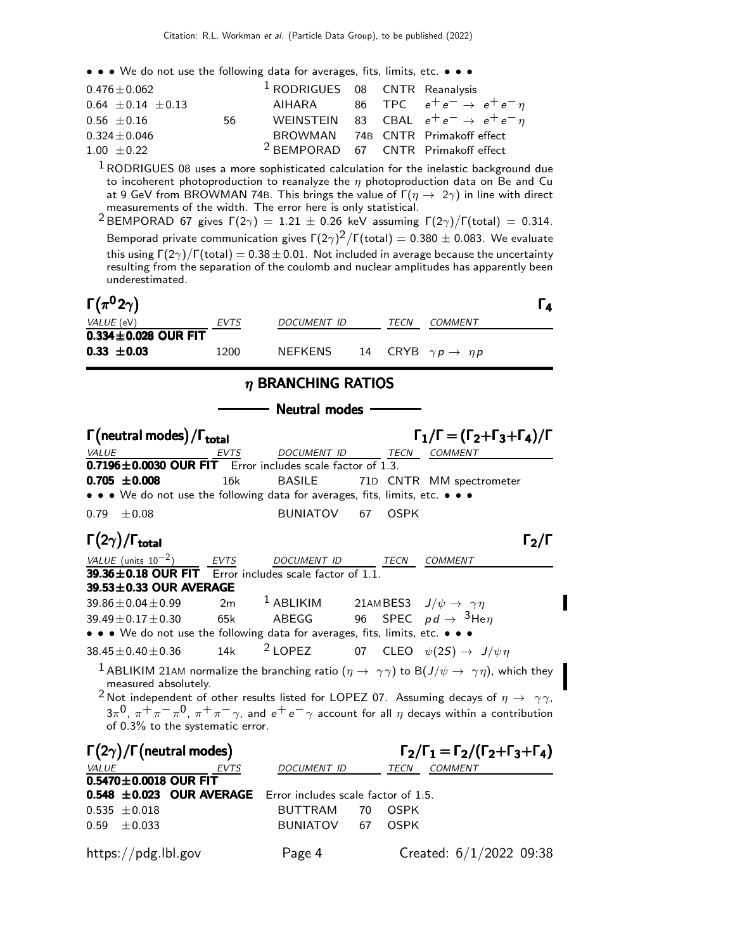| $0.476 \pm 0.062$        |    | <sup>1</sup> RODRIGUES 08 CNTR Reanalysis |  |                                                   |
|--------------------------|----|-------------------------------------------|--|---------------------------------------------------|
| $0.64 \pm 0.14 \pm 0.13$ |    |                                           |  | AIHARA 86 TPC $e^+e^- \rightarrow e^+e^-\eta$     |
| $0.56 \pm 0.16$          | 56 |                                           |  | WEINSTEIN 83 CBAL $e^+e^- \rightarrow e^+e^-\eta$ |
| $0.324 \pm 0.046$        |    |                                           |  | BROWMAN 74B CNTR Primakoff effect                 |
| $1.00 \pm 0.22$          |    |                                           |  | <sup>2</sup> BEMPORAD 67 CNTR Primakoff effect    |

 $1$  RODRIGUES 08 uses a more sophisticated calculation for the inelastic background due to incoherent photoproduction to reanalyze the  $\eta$  photoproduction data on Be and Cu at 9 GeV from BROWMAN 74B. This brings the value of  $\Gamma(\eta \to 2\gamma)$  in line with direct measurements of the width. The error here is only statistical.

<sup>2</sup> BEMPORAD 67 gives  $\Gamma(2\gamma) = 1.21 \pm 0.26$  keV assuming  $\Gamma(2\gamma)/\Gamma(\text{total}) = 0.314$ . Bemporad private communication gives  $\Gamma(2\gamma)^2/\Gamma(\mathrm{total})=0.380\pm0.083$ . We evaluate this using Γ $(2\gamma)/$ Γ $(t$ otal $) = 0.38 \pm 0.01$ . Not included in average because the uncertainty resulting from the separation of the coulomb and nuclear amplitudes has apparently been underestimated.

| $\Gamma(\pi^0 2\gamma)$   |             |             |      |                                       |  |
|---------------------------|-------------|-------------|------|---------------------------------------|--|
| <i>VALUE</i> (eV)         | <b>EVTS</b> | DOCUMENT ID | TECN | COMMENT                               |  |
| $0.334 \pm 0.028$ OUR FIT |             |             |      |                                       |  |
| $0.33 \pm 0.03$           | 1200        | NEFKENS     |      | 14 CRYB $\gamma p \rightarrow \eta p$ |  |

#### η BRANCHING RATIOS

Neutral modes

| $\Gamma$ (neutral modes) / $\Gamma$ <sub>total</sub>                          |      |                                                           |    |             | $\Gamma_1/\Gamma = (\Gamma_2 + \Gamma_3 + \Gamma_4)/\Gamma$                                                                |
|-------------------------------------------------------------------------------|------|-----------------------------------------------------------|----|-------------|----------------------------------------------------------------------------------------------------------------------------|
| <b>VALUE</b>                                                                  |      | DOCUMENT ID                                               |    |             | TECN COMMENT                                                                                                               |
| $\overline{0.7196 \pm 0.0030}$ OUR FIT Error includes scale factor of 1.3.    |      |                                                           |    |             |                                                                                                                            |
| $0.705 \pm 0.008$                                                             | 16k  | <b>BASILE</b>                                             |    |             | 71D CNTR MM spectrometer                                                                                                   |
| • • • We do not use the following data for averages, fits, limits, etc. • • • |      |                                                           |    |             |                                                                                                                            |
| $0.79 \pm 0.08$                                                               |      | BUNIATOV                                                  | 67 | <b>OSPK</b> |                                                                                                                            |
| $\Gamma(2\gamma)/\Gamma_{\text{total}}$                                       |      |                                                           |    |             | $\Gamma_2/\Gamma$                                                                                                          |
| VALUE (units $10^{-2}$ )                                                      |      | EVTS DOCUMENT ID                                          |    | <b>TECN</b> | <b>COMMENT</b>                                                                                                             |
| 39.36 $\pm$ 0.18 OUR FIT Error includes scale factor of 1.1.                  |      |                                                           |    |             |                                                                                                                            |
| $39.53 \pm 0.33$ OUR AVERAGE                                                  |      |                                                           |    |             |                                                                                                                            |
| $39.86 \pm 0.04 \pm 0.99$                                                     |      | 2m $^1$ ABLIKIM 21AMBES3 $J/\psi \rightarrow \gamma \eta$ |    |             |                                                                                                                            |
| $39.49 \pm 0.17 \pm 0.30$                                                     |      | 65k ABEGG 96 SPEC $pd\rightarrow \ ^3$ He $\eta$          |    |             |                                                                                                                            |
| • • • We do not use the following data for averages, fits, limits, etc. • • • |      |                                                           |    |             |                                                                                                                            |
| $38.45 \pm 0.40 \pm 0.36$                                                     |      | 14k $^{2}$ LOPEZ                                          |    |             | 07 CLEO $\psi(2S) \rightarrow J/\psi \eta$                                                                                 |
| measured absolutely.                                                          |      |                                                           |    |             | $^1$ ABLIKIM 21AM normalize the branching ratio $(\eta \to~\gamma\gamma)$ to B $(J/\psi \to~\gamma\eta)$ , which they      |
|                                                                               |      |                                                           |    |             | <sup>2</sup> Not independent of other results listed for LOPEZ 07. Assuming decays of $\eta \rightarrow \gamma \gamma$ ,   |
|                                                                               |      |                                                           |    |             | $3\pi^0$ , $\pi^+\pi^-\pi^0$ , $\pi^+\pi^-\gamma$ , and $e^+e^-\gamma$ account for all $\eta$ decays within a contribution |
| of 0.3% to the systematic error.                                              |      |                                                           |    |             |                                                                                                                            |
| $\Gamma(2\gamma)/\Gamma$ (neutral modes)                                      |      |                                                           |    |             | $\Gamma_2/\Gamma_1 = \Gamma_2/(\Gamma_2 + \Gamma_3 + \Gamma_4)$                                                            |
| VALUE                                                                         | EVTS | DOCUMENT ID                                               |    |             | TECN COMMENT                                                                                                               |
| $0.5470 \pm 0.0018$ OUR FIT                                                   |      |                                                           |    |             |                                                                                                                            |
| 0.548 ±0.023 OUR AVERAGE Error includes scale factor of 1.5.                  |      |                                                           |    |             |                                                                                                                            |
| $0.535 + 0.018$                                                               |      | BUTTRAM                                                   | 70 | <b>OSPK</b> |                                                                                                                            |
| $\pm 0.033$<br>0.59                                                           |      | <b>BUNIATOV</b>                                           | 67 | <b>OSPK</b> |                                                                                                                            |
|                                                                               |      |                                                           |    |             |                                                                                                                            |
| https://pdg.lbl.gov                                                           |      | Page 4                                                    |    |             | Created: $6/1/2022$ 09:38                                                                                                  |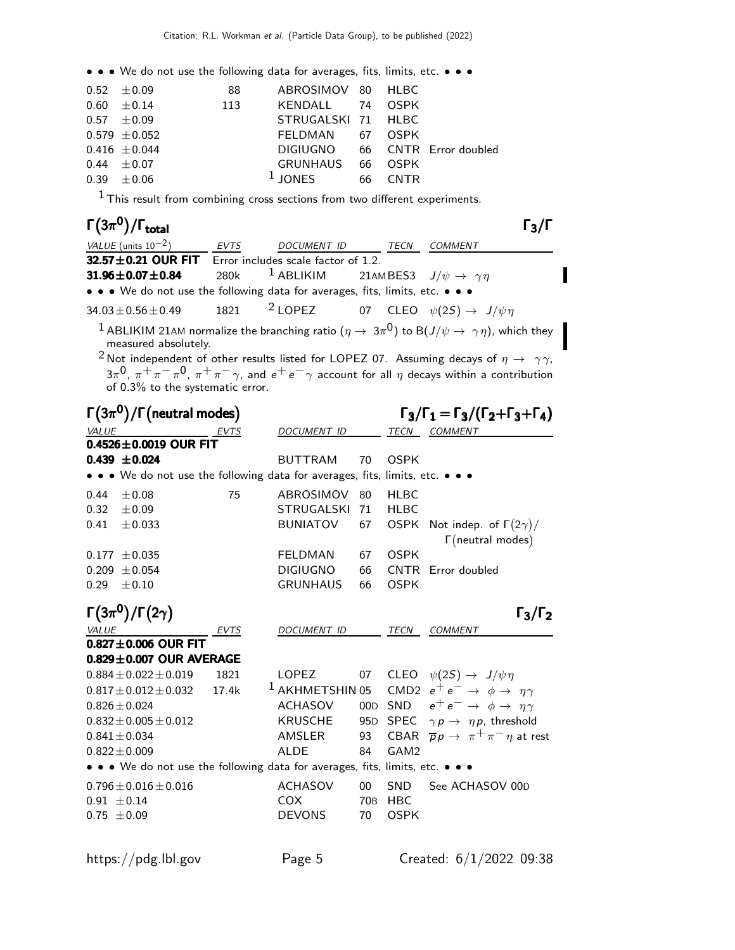| $0.52 \pm 0.09$   | -88 | ABROSIMOV 80 HLBC              |    |             |  |
|-------------------|-----|--------------------------------|----|-------------|--|
| $0.60 \pm 0.14$   | 113 | KENDALL 74                     |    | 0SPK        |  |
| $0.57 \pm 0.09$   |     | STRUGALSKI 71 HLBC             |    |             |  |
| $0.579 \pm 0.052$ |     | FELDMAN 67 OSPK                |    |             |  |
| $0.416 \pm 0.044$ |     | DIGIUGNO 66 CNTR Error doubled |    |             |  |
| $0.44 + 0.07$     |     | GRUNHAUS                       |    | 66 OSPK     |  |
| $0.39 \pm 0.06$   |     | $1$ JONES                      | 66 | <b>CNTR</b> |  |

 $<sup>1</sup>$  This result from combining cross sections from two different experiments.</sup>

| $\Gamma(3\pi^0)/\Gamma_{\rm total}$                                            |      |                                                                     | $\Gamma_3$ /I                                                                                                            |
|--------------------------------------------------------------------------------|------|---------------------------------------------------------------------|--------------------------------------------------------------------------------------------------------------------------|
| VALUE (units $10^{-2}$ )                                                       | EVTS | DOCUMENT ID TECN                                                    | COMMENT                                                                                                                  |
| 32.57 ± 0.21 OUR FIT Error includes scale factor of 1.2.                       |      |                                                                     |                                                                                                                          |
| $31.96 \pm 0.07 \pm 0.84$                                                      |      | 280k <sup>1</sup> ABLIKIM 21AMBES3 $J/\psi \rightarrow \gamma \eta$ |                                                                                                                          |
| • • • We do not use the following data for averages, fits, limits, etc. • • •  |      |                                                                     |                                                                                                                          |
| 34.03 ± 0.56 ± 0.49 1821 <sup>2</sup> LOPEZ 07 CLEO $\psi(2S) \to J/\psi \eta$ |      |                                                                     |                                                                                                                          |
| measured absolutely.<br>$\sim$                                                 |      |                                                                     | <sup>1</sup> ABLIKIM 21AM normalize the branching ratio $(\eta \to 3\pi^0)$ to B $(J/\psi \to \gamma \eta)$ , which they |

I

 $^2$ Not independent of other results listed for LOPEZ 07. Assuming decays of  $\eta$   $\rightarrow$   $\,\,\gamma\gamma$ ,  $3\pi^0$ ,  $\pi^+\pi^-\pi^0$ ,  $\pi^+\pi^-\gamma$ , and  $e^+e^-\gamma$  account for all  $\eta$  decays within a contribution of 0.3% to the systematic error.

|                 | $\Gamma(3\pi^0)/\Gamma$ (neutral modes) |       |                                                                                                                       |                 |                  | $\Gamma_3/\Gamma_1 = \Gamma_3/(\Gamma_2 + \Gamma_3 + \Gamma_4)$ |
|-----------------|-----------------------------------------|-------|-----------------------------------------------------------------------------------------------------------------------|-----------------|------------------|-----------------------------------------------------------------|
| VALUE           |                                         | EVTS  | DOCUMENT ID                                                                                                           |                 | TECN             | COMMENT                                                         |
|                 | $0.4526 \pm 0.0019$ OUR FIT             |       |                                                                                                                       |                 |                  |                                                                 |
|                 | $0.439 \pm 0.024$                       |       | <b>BUTTRAM</b>                                                                                                        | 70              | <b>OSPK</b>      |                                                                 |
|                 |                                         |       | • • • We do not use the following data for averages, fits, limits, etc. • • •                                         |                 |                  |                                                                 |
| 0.44            | ±0.08                                   | 75    | ABROSIMOV                                                                                                             | 80              | <b>HLBC</b>      |                                                                 |
| 0.32            | $\pm 0.09$                              |       | <b>STRUGALSKI</b>                                                                                                     | 71              | <b>HLBC</b>      |                                                                 |
| 0.41            | $\pm 0.033$                             |       | <b>BUNIATOV</b>                                                                                                       | 67              | <b>OSPK</b>      | Not indep. of $\Gamma(2\gamma)/$<br>$\Gamma$ (neutral modes)    |
|                 | $0.177 \pm 0.035$                       |       | FELDMAN                                                                                                               | 67              | <b>OSPK</b>      |                                                                 |
| 0.209           | ± 0.054                                 |       | <b>DIGIUGNO</b>                                                                                                       | 66              | <b>CNTR</b>      | Error doubled                                                   |
| 0.29            | $\pm 0.10$                              |       | <b>GRUNHAUS</b>                                                                                                       | 66              | <b>OSPK</b>      |                                                                 |
|                 | $\Gamma(3\pi^0)/\Gamma(2\gamma)$        |       |                                                                                                                       |                 |                  | $\Gamma_3/\Gamma_2$                                             |
| <i>VALUE</i>    | $0.827 \pm 0.006$ OUR FIT               | EVTS  | DOCUMENT ID                                                                                                           |                 | TECN             | <b>COMMENT</b>                                                  |
|                 | $0.829 \pm 0.007$ OUR AVERAGE           |       |                                                                                                                       |                 |                  |                                                                 |
|                 | $0.884 \pm 0.022 \pm 0.019$             | 1821  | <b>LOPEZ</b>                                                                                                          | 07              |                  | CLEO $\psi(2S) \rightarrow J/\psi \eta$                         |
|                 | $0.817 \pm 0.012 \pm 0.032$             | 17.4k | <sup>1</sup> AKHMETSHIN 05                                                                                            |                 |                  | CMD2 $e^+e^- \rightarrow \phi \rightarrow \eta \gamma$          |
|                 | $0.826 \pm 0.024$                       |       | ACHASOV                                                                                                               |                 |                  | 00D SND $e^+e^- \rightarrow \phi \rightarrow \eta \gamma$       |
|                 | $0.832 \pm 0.005 \pm 0.012$             |       | <b>KRUSCHE</b>                                                                                                        |                 |                  | 95D SPEC $\gamma p \rightarrow \eta p$ , threshold              |
|                 | $0.841 + 0.034$                         |       | AMSLER                                                                                                                | 93              |                  | CBAR $\bar{p}p \to \pi^+\pi^-\eta$ at rest                      |
|                 | $0.822 \pm 0.009$                       |       | <b>ALDE</b>                                                                                                           | 84              | GAM <sub>2</sub> |                                                                 |
|                 |                                         |       |                                                                                                                       |                 |                  |                                                                 |
|                 |                                         |       | $\bullet \bullet \bullet$ We do not use the following data for averages, fits, limits, etc. $\bullet \bullet \bullet$ |                 |                  |                                                                 |
|                 | $0.796 \pm 0.016 \pm 0.016$             |       | <b>ACHASOV</b>                                                                                                        | $00\,$          | <b>SND</b>       | See ACHASOV 00D                                                 |
| $0.91 \pm 0.14$ |                                         |       | <b>COX</b>                                                                                                            | 70 <sub>B</sub> | <b>HBC</b>       |                                                                 |
| $0.75 \pm 0.09$ |                                         |       | <b>DEVONS</b>                                                                                                         | 70              | <b>OSPK</b>      |                                                                 |
|                 |                                         |       |                                                                                                                       |                 |                  |                                                                 |

https://pdg.lbl.gov Page 5 Created: 6/1/2022 09:38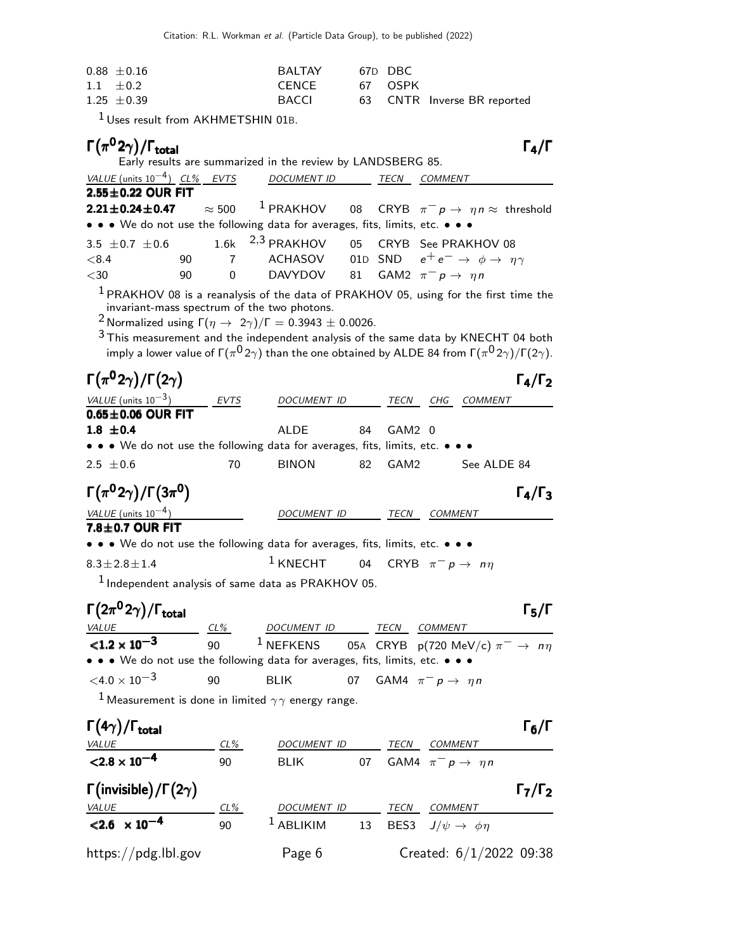| $0.88 \pm 0.16$ | BAI TAY | 67D DBC |                             |
|-----------------|---------|---------|-----------------------------|
| $1.1 \pm 0.2$   | CENCE   | 67 OSPK |                             |
| $1.25 \pm 0.39$ | BACCL   |         | 63 CNTR Inverse BR reported |

1 Uses result from AKHMETSHIN 01B.

| $\Gamma(\pi^0 2\gamma)/\Gamma_{\rm total}$                                    |                      | Early results are summarized in the review by LANDSBERG 85.                                                                                                                                                                                                                                                                                                                                                                                              |    |        |                                                           |             | $\Gamma_4/\Gamma$   |
|-------------------------------------------------------------------------------|----------------------|----------------------------------------------------------------------------------------------------------------------------------------------------------------------------------------------------------------------------------------------------------------------------------------------------------------------------------------------------------------------------------------------------------------------------------------------------------|----|--------|-----------------------------------------------------------|-------------|---------------------|
| VALUE (units $10^{-4}$ ) CL% EVTS                                             |                      | <b>DOCUMENT ID</b>                                                                                                                                                                                                                                                                                                                                                                                                                                       |    | TECN   | <b>COMMENT</b>                                            |             |                     |
| 2.55±0.22 OUR FIT                                                             |                      |                                                                                                                                                                                                                                                                                                                                                                                                                                                          |    |        |                                                           |             |                     |
| $2.21 \pm 0.24 \pm 0.47$                                                      | $\approx 500$        | $1$ PRAKHOV                                                                                                                                                                                                                                                                                                                                                                                                                                              | 08 |        | CRYB $\pi^- p \to \eta n \approx$ threshold               |             |                     |
| • • • We do not use the following data for averages, fits, limits, etc. • • • |                      |                                                                                                                                                                                                                                                                                                                                                                                                                                                          |    |        |                                                           |             |                     |
| 3.5 $\pm$ 0.7 $\pm$ 0.6                                                       | 1.6k                 | $2,3$ PRAKHOV                                                                                                                                                                                                                                                                                                                                                                                                                                            | 05 |        | CRYB See PRAKHOV 08                                       |             |                     |
| < 8.4                                                                         | 90<br>$\overline{7}$ | ACHASOV                                                                                                                                                                                                                                                                                                                                                                                                                                                  |    |        | 01D SND $e^+e^- \rightarrow \phi \rightarrow \eta \gamma$ |             |                     |
| $<$ 30                                                                        | 90<br>$\mathbf 0$    | DAVYDOV                                                                                                                                                                                                                                                                                                                                                                                                                                                  | 81 |        | GAM2 $\pi^- p \rightarrow \eta n$                         |             |                     |
|                                                                               |                      | $1$ PRAKHOV 08 is a reanalysis of the data of PRAKHOV 05, using for the first time the<br>invariant-mass spectrum of the two photons.<br><sup>2</sup> Normalized using $\Gamma(\eta \to 2\gamma)/\Gamma = 0.3943 \pm 0.0026$ .<br>$3$ This measurement and the independent analysis of the same data by KNECHT 04 both<br>imply a lower value of $\Gamma(\pi^0 2\gamma)$ than the one obtained by ALDE 84 from $\Gamma(\pi^0 2\gamma)/\Gamma(2\gamma)$ . |    |        |                                                           |             |                     |
| $\Gamma(\pi^0 2\gamma)/\Gamma(2\gamma)$                                       |                      |                                                                                                                                                                                                                                                                                                                                                                                                                                                          |    |        |                                                           |             | $\Gamma_4/\Gamma_2$ |
| VALUE (units $10^{-3}$ )                                                      |                      | DOCUMENT ID                                                                                                                                                                                                                                                                                                                                                                                                                                              |    |        | TECN CHG                                                  | COMMENT     |                     |
| $0.65 \pm 0.06$ OUR FIT                                                       | EVTS                 |                                                                                                                                                                                                                                                                                                                                                                                                                                                          |    |        |                                                           |             |                     |
| $1.8 \pm 0.4$                                                                 |                      | <b>ALDE</b>                                                                                                                                                                                                                                                                                                                                                                                                                                              | 84 | GAM2 0 |                                                           |             |                     |
| • • • We do not use the following data for averages, fits, limits, etc. •     |                      |                                                                                                                                                                                                                                                                                                                                                                                                                                                          |    |        |                                                           |             |                     |
| $2.5 \pm 0.6$                                                                 | 70                   | <b>BINON</b>                                                                                                                                                                                                                                                                                                                                                                                                                                             | 82 | GAM2   |                                                           | See ALDE 84 |                     |
| $\Gamma(\pi^0 2\gamma)/\Gamma(3\pi^0)$                                        |                      |                                                                                                                                                                                                                                                                                                                                                                                                                                                          |    |        |                                                           |             | $\Gamma_4/\Gamma_3$ |
| VALUE (units $10^{-4}$ )                                                      |                      | DOCUMENT ID                                                                                                                                                                                                                                                                                                                                                                                                                                              |    | TECN   | <b>COMMENT</b>                                            |             |                     |
| 7.8±0.7 OUR FIT                                                               |                      |                                                                                                                                                                                                                                                                                                                                                                                                                                                          |    |        |                                                           |             |                     |
| • • • We do not use the following data for averages, fits, limits, etc. • • • |                      |                                                                                                                                                                                                                                                                                                                                                                                                                                                          |    |        |                                                           |             |                     |
| $8.3 \pm 2.8 \pm 1.4$                                                         |                      | $1$ KNECHT 04                                                                                                                                                                                                                                                                                                                                                                                                                                            |    |        | CRYB $\pi^- p \to n\eta$                                  |             |                     |
|                                                                               |                      | <sup>1</sup> Independent analysis of same data as PRAKHOV 05.                                                                                                                                                                                                                                                                                                                                                                                            |    |        |                                                           |             |                     |
| $\Gamma(2\pi^0 2\gamma)/\Gamma_{\rm total}$<br><b>VALUE</b>                   | $CL\%$               | <u>DOCUMENT ID</u>                                                                                                                                                                                                                                                                                                                                                                                                                                       |    |        | <b>TECN COMMENT</b>                                       |             | $\Gamma_5/\Gamma$   |
| $< 1.2 \times 10^{-3}$                                                        | 90                   | $1$ NEFKENS                                                                                                                                                                                                                                                                                                                                                                                                                                              |    |        | 05A CRYB p(720 MeV/c) $\pi^ \rightarrow$ n $\eta$         |             |                     |
| • • • We do not use the following data for averages, fits, limits, etc. • • • |                      |                                                                                                                                                                                                                                                                                                                                                                                                                                                          |    |        |                                                           |             |                     |
| ${<}4.0\times10^{-3}$                                                         | 90                   | <b>BLIK</b>                                                                                                                                                                                                                                                                                                                                                                                                                                              | 07 |        | GAM4 $\pi^- p \to \eta n$                                 |             |                     |
|                                                                               |                      | <sup>1</sup> Measurement is done in limited $\gamma\gamma$ energy range.                                                                                                                                                                                                                                                                                                                                                                                 |    |        |                                                           |             |                     |
| $\Gamma(4\gamma)/\Gamma_{\rm total}$                                          |                      |                                                                                                                                                                                                                                                                                                                                                                                                                                                          |    |        |                                                           |             | $\Gamma_6/\Gamma$   |
| $< 2.8 \times 10^{-4}$                                                        | CL%                  | DOCUMENT ID                                                                                                                                                                                                                                                                                                                                                                                                                                              |    |        | TECN COMMENT                                              |             |                     |
|                                                                               | 90                   | <b>BLIK</b>                                                                                                                                                                                                                                                                                                                                                                                                                                              | 07 |        | GAM4 $\pi^- p \rightarrow \eta n$                         |             |                     |
| $\Gamma(\text{invisible})/\Gamma(2\gamma)$                                    |                      |                                                                                                                                                                                                                                                                                                                                                                                                                                                          |    |        |                                                           |             | $\Gamma_7/\Gamma_2$ |
| <u>VALUE</u>                                                                  | CL%                  | DOCUMENT ID TECN COMMENT                                                                                                                                                                                                                                                                                                                                                                                                                                 |    |        |                                                           |             |                     |
| $< 2.6 \times 10^{-4}$                                                        | 90                   | <sup>1</sup> ABLIKIM                                                                                                                                                                                                                                                                                                                                                                                                                                     |    |        | 13 BES3 $J/\psi \rightarrow \phi \eta$                    |             |                     |
| https://pdg.lbl.gov                                                           |                      | Page 6                                                                                                                                                                                                                                                                                                                                                                                                                                                   |    |        | Created: $6/1/2022$ 09:38                                 |             |                     |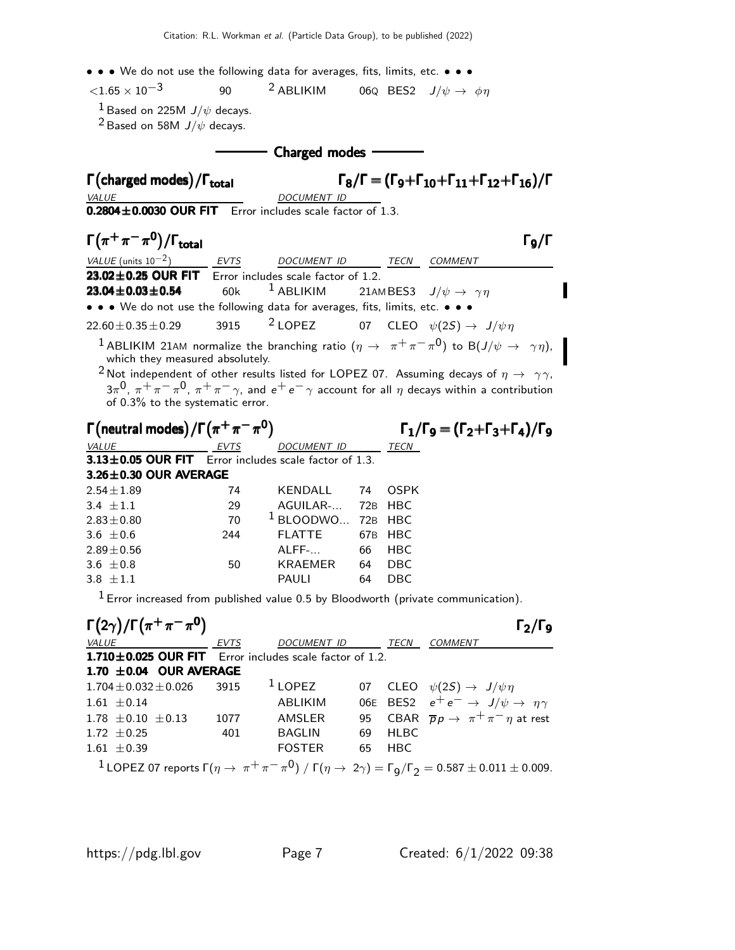$\langle 1.65 \times 10^{-3}$  90 <sup>2</sup> ABLIKIM 06Q BES2  $J/\psi \to \phi \eta$ 

<sup>1</sup> Based on 225M  $J/\psi$  decays.

<sup>2</sup> Based on 58M  $J/\psi$  decays.

- Charged modes -

 $\mathsf{\Gamma}(\mathsf{charged~modes})$ Γ(charged modes)/Γ<sub>total</sub> Γ $_8$ /Γ = (Γ $_9+$ Γ $_{10}+$ Γ $_{11}+$ Γ $_{12}+$ Γ $_{16}$ )/Γ VALUE DOCUMENT ID  $0.2804 \pm 0.0030$  OUR FIT Error includes scale factor of 1.3.

 $\Gamma(\pi^+\pi^-\pi^0)/\Gamma_{\text{total}}$  Γg/Γ )/Γ<sub>total</sub>Γ9/Γ VALUE (units  $10^{-2}$ ) EVTS DOCUMENT ID TECN COMMENT **23.02±0.25 OUR FIT** Error includes scale factor of 1.2.<br>**23.04±0.03±0.54** 60k  $1$  ABLIKIM 21AN **23.04±0.03±0.54** 60k <sup>1</sup> ABLIKIM 21AMBES3  $J/\psi \to \gamma \eta$ • • • We do not use the following data for averages, fits, limits, etc. • • •  $22.60 \pm 0.35 \pm 0.29$  3915 <sup>2</sup> LOPEZ 07 CLEO  $\psi(2S) \to J/\psi \eta$  $^1$  ABLIKIM 21AM normalize the branching ratio  $(\eta \rightarrow \pi^+ \pi^- \pi^0)$  to B $(J/\psi \rightarrow \gamma \eta),$ which they measured absolutely. <sup>2</sup> Not independent of other results listed for LOPEZ 07. Assuming decays of  $\eta \to \gamma \gamma$ ,  $3\pi^0$ ,  $\pi^+\pi^-\pi^0$ ,  $\pi^+\pi^-\gamma$ , and  $e^+e^-\gamma$  account for all  $\eta$  decays within a contribution

of 0.3% to the systematic error.

| $\Gamma$ (neutral modes)/ $\Gamma(\pi^+\pi^-\pi^0)$       |             | $\Gamma_1/\Gamma_9 = (\Gamma_2 + \Gamma_3 + \Gamma_4)/\Gamma_9$ |     |             |  |
|-----------------------------------------------------------|-------------|-----------------------------------------------------------------|-----|-------------|--|
| <i>VALUE</i>                                              | <b>EVTS</b> | <b>DOCUMENT ID</b>                                              |     | TECN        |  |
| $3.13\pm0.05$ OUR FIT Error includes scale factor of 1.3. |             |                                                                 |     |             |  |
| $3.26 \pm 0.30$ OUR AVERAGE                               |             |                                                                 |     |             |  |
| $2.54 \pm 1.89$                                           | 74          | KENDALL                                                         | 74  | <b>OSPK</b> |  |
| 3.4 $\pm 1.1$                                             | 29          | AGUILAR- 72B HBC                                                |     |             |  |
| $2.83 \pm 0.80$                                           | 70          | <sup>1</sup> BLOODWO 72B HBC                                    |     |             |  |
| 3.6 $\pm$ 0.6                                             | 244         | <b>FLATTE</b>                                                   | 67B | HBC         |  |
| $2.89 \pm 0.56$                                           |             | ALFF-                                                           | 66  | <b>HBC</b>  |  |
| 3.6 $\pm 0.8$                                             | 50          | KRAEMER                                                         | 64  | DBC         |  |
| $3.8 + 1.1$                                               |             | <b>PAULI</b>                                                    | 64  | DBC         |  |

 $<sup>1</sup>$  Error increased from published value 0.5 by Bloodworth (private communication).</sup>

| $\Gamma(2\gamma)/\Gamma(\pi^+\pi^-\pi^0)$               |      |               |    |             | $\Gamma_2/\Gamma_9$                                                                                                                               |
|---------------------------------------------------------|------|---------------|----|-------------|---------------------------------------------------------------------------------------------------------------------------------------------------|
| <i>VALUE</i>                                            | EVTS | DOCUMENT ID   |    | TECN        | <b>COMMENT</b>                                                                                                                                    |
| 1.710±0.025 OUR FIT Error includes scale factor of 1.2. |      |               |    |             |                                                                                                                                                   |
| 1.70 $\pm$ 0.04 OUR AVERAGE                             |      |               |    |             |                                                                                                                                                   |
| $1.704 \pm 0.032 \pm 0.026$ 3915                        |      | $1$ LOPEZ     |    |             | 07 CLEO $\psi(2S) \rightarrow J/\psi \eta$                                                                                                        |
| $1.61 \pm 0.14$                                         |      | ABLIKIM       |    |             | 06E BES2 $e^+e^- \rightarrow J/\psi \rightarrow \eta \gamma$                                                                                      |
| $1.78 \pm 0.10 \pm 0.13$                                | 1077 | AMSLER        |    |             | 95 CBAR $\overline{p}p \rightarrow \pi^+\pi^-\eta$ at rest                                                                                        |
| 1.72 $\pm$ 0.25                                         | 401  | <b>BAGLIN</b> | 69 | <b>HLBC</b> |                                                                                                                                                   |
| $1.61 \pm 0.39$                                         |      | <b>FOSTER</b> | 65 | <b>HBC</b>  |                                                                                                                                                   |
|                                                         |      |               |    |             | <sup>1</sup> LOPEZ 07 reports $\Gamma(\eta \to \pi^+ \pi^- \pi^0)$ / $\Gamma(\eta \to 2\gamma) = \Gamma_9/\Gamma_2 = 0.587 \pm 0.011 \pm 0.009$ . |

Π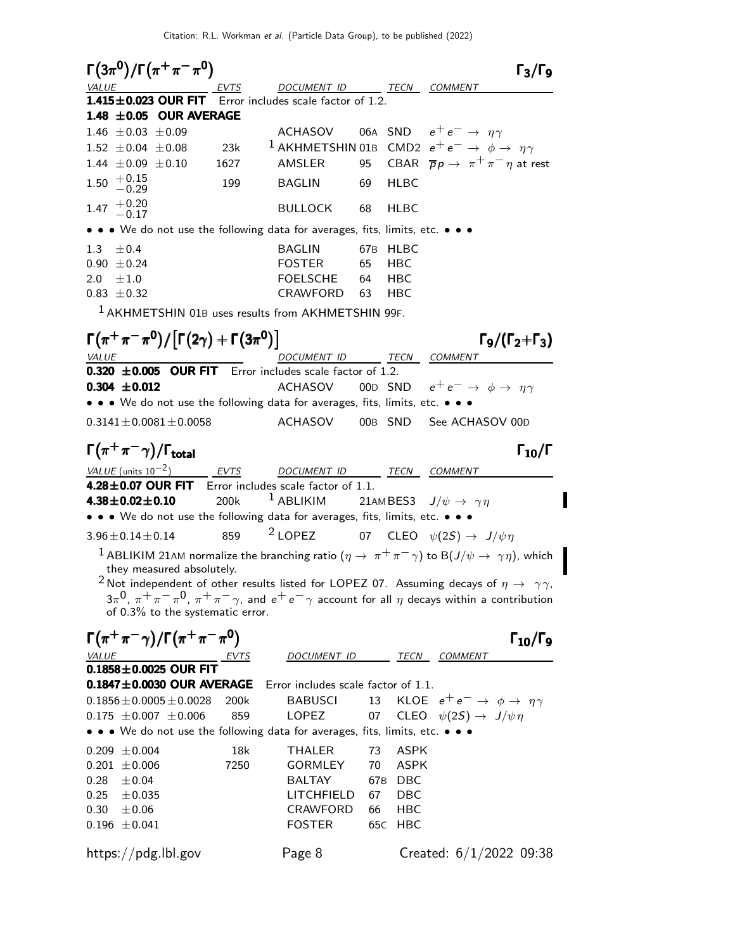| $\Gamma(3\pi^{0})/\Gamma(\pi^{+}\pi^{-}\pi^{0})$                                                                                              |             |                                                                                    |                 |             |                                                           | $\Gamma_3/\Gamma_9$            |
|-----------------------------------------------------------------------------------------------------------------------------------------------|-------------|------------------------------------------------------------------------------------|-----------------|-------------|-----------------------------------------------------------|--------------------------------|
| VALUE                                                                                                                                         | EVTS        | DOCUMENT ID                                                                        |                 | TECN        | <b>COMMENT</b>                                            |                                |
| 1.415±0.023 OUR FIT Error includes scale factor of 1.2.                                                                                       |             |                                                                                    |                 |             |                                                           |                                |
| 1.48 $\pm$ 0.05 OUR AVERAGE                                                                                                                   |             |                                                                                    |                 |             |                                                           |                                |
| 1.46 $\pm$ 0.03 $\pm$ 0.09                                                                                                                    |             | <b>ACHASOV</b>                                                                     |                 |             | 06A SND $e^+e^- \rightarrow \eta \gamma$                  |                                |
| $1.52 \pm 0.04 \pm 0.08$                                                                                                                      | 23k         | <sup>1</sup> AKHMETSHIN 01B CMD2 $e^+e^- \rightarrow \phi \rightarrow \eta \gamma$ |                 |             |                                                           |                                |
| 1.44 $\pm 0.09 \pm 0.10$                                                                                                                      | 1627        | AMSLER                                                                             | 95              |             | CBAR $\overline{p}p \rightarrow \pi^+\pi^-\eta$ at rest   |                                |
| $^{+0.15}_{-0.29}$<br>1.50                                                                                                                    | 199         | <b>BAGLIN</b>                                                                      | 69              | <b>HLBC</b> |                                                           |                                |
| $^{+0.20}_{-0.17}$<br>1.47                                                                                                                    |             | <b>BULLOCK</b>                                                                     | 68              | <b>HLBC</b> |                                                           |                                |
| • • • We do not use the following data for averages, fits, limits, etc. • • •                                                                 |             |                                                                                    |                 |             |                                                           |                                |
| 1.3<br>$\pm 0.4$                                                                                                                              |             | <b>BAGLIN</b>                                                                      | 67B             | HLBC        |                                                           |                                |
| $0.90 \pm 0.24$                                                                                                                               |             | <b>FOSTER</b>                                                                      | 65              | <b>HBC</b>  |                                                           |                                |
| 2.0<br>$\pm 1.0$                                                                                                                              |             | <b>FOELSCHE</b>                                                                    | 64              | <b>HBC</b>  |                                                           |                                |
| $0.83 \pm 0.32$                                                                                                                               |             | CRAWFORD                                                                           | 63              | <b>HBC</b>  |                                                           |                                |
| <sup>1</sup> AKHMETSHIN 01B uses results from AKHMETSHIN 99F.                                                                                 |             |                                                                                    |                 |             |                                                           |                                |
| $\Gamma(\pi^+\pi^-\pi^0)/[\Gamma(2\gamma)+\Gamma(3\pi^0)]$                                                                                    |             |                                                                                    |                 |             |                                                           | $\Gamma_9/(\Gamma_2+\Gamma_3)$ |
| <b>VALUE</b>                                                                                                                                  |             | DOCUMENT ID                                                                        |                 |             | TECN COMMENT                                              |                                |
| 0.320 ±0.005 OUR FIT Error includes scale factor of 1.2.                                                                                      |             |                                                                                    |                 |             |                                                           |                                |
| $0.304 \pm 0.012$                                                                                                                             |             | <b>ACHASOV</b>                                                                     |                 |             | 00D SND $e^+e^- \rightarrow \phi \rightarrow \eta \gamma$ |                                |
| • • • We do not use the following data for averages, fits, limits, etc. • • •                                                                 |             |                                                                                    |                 |             |                                                           |                                |
| $0.3141 \pm 0.0081 \pm 0.0058$                                                                                                                |             | ACHASOV                                                                            |                 | 00B SND     | See ACHASOV 00D                                           |                                |
| $\Gamma(\pi^+\pi^-\gamma)/\Gamma_{\rm total}$                                                                                                 |             |                                                                                    |                 |             |                                                           | $\Gamma_{10}/\Gamma$           |
| VALUE (units $10^{-2}$ )                                                                                                                      | EVTS        | DOCUMENT ID TECN COMMENT                                                           |                 |             |                                                           |                                |
| 4.28±0.07 OUR FIT                                                                                                                             |             | Error includes scale factor of 1.1.                                                |                 |             |                                                           |                                |
| $4.38 \pm 0.02 \pm 0.10$                                                                                                                      | 200k        | $1$ ABLIKIM                                                                        |                 |             | 21AMBES3 $J/\psi \rightarrow \gamma \eta$                 |                                |
| • • • We do not use the following data for averages, fits, limits, etc. • • •                                                                 |             |                                                                                    |                 |             |                                                           |                                |
| $3.96 \pm 0.14 \pm 0.14$                                                                                                                      | 859         | $2$ LOPEZ                                                                          |                 |             | 07 CLEO $\psi(2S) \rightarrow J/\psi \eta$                |                                |
| $^1$ ABLIKIM 21AM normalize the branching ratio $(\eta\to\pi^+\pi^-\gamma)$ to B $(J/\psi\to\gamma\eta)$ , which<br>they measured absolutely. |             |                                                                                    |                 |             |                                                           |                                |
| $^2$ Not independent of other results listed for LOPEZ 07. Assuming decays of $\eta \rightarrow \gamma \gamma$ ,                              |             |                                                                                    |                 |             |                                                           |                                |
| $3\pi^0$ , $\pi^+\pi^-\pi^0$ , $\pi^+\pi^-\gamma$ , and $e^+e^-\gamma$ account for all $\eta$ decays within a contribution                    |             |                                                                                    |                 |             |                                                           |                                |
| of 0.3% to the systematic error.                                                                                                              |             |                                                                                    |                 |             |                                                           |                                |
| $\Gamma(\pi^+\pi^-\gamma)/\Gamma(\pi^+\pi^-\pi^0)$                                                                                            |             |                                                                                    |                 |             |                                                           | $\Gamma_{10}/\Gamma_{9}$       |
| <b>VALUE</b>                                                                                                                                  | <u>EVTS</u> | DOCUMENT ID                                                                        |                 | TECN        | COMMENT                                                   |                                |
| $0.1858 \pm 0.0025$ OUR FIT                                                                                                                   |             |                                                                                    |                 |             |                                                           |                                |
| $0.1847 \pm 0.0030$ OUR AVERAGE                                                                                                               |             | Error includes scale factor of 1.1.                                                |                 |             |                                                           |                                |
| $0.1856 \pm 0.0005 \pm 0.0028$                                                                                                                | 200k        | <b>BABUSCI</b>                                                                     | 13              |             | KLOE $e^+e^- \rightarrow \phi \rightarrow \eta \gamma$    |                                |
| $0.175 \pm 0.007 \pm 0.006$                                                                                                                   | 859         | <b>LOPEZ</b>                                                                       | 07              |             | CLEO $\psi(2S) \rightarrow J/\psi \eta$                   |                                |
| • • • We do not use the following data for averages, fits, limits, etc. • • •                                                                 |             |                                                                                    |                 |             |                                                           |                                |
| $0.209 \pm 0.004$                                                                                                                             | 18k         | <b>THALER</b>                                                                      | 73              | <b>ASPK</b> |                                                           |                                |
| $0.201 \pm 0.006$                                                                                                                             | 7250        | <b>GORMLEY</b>                                                                     | 70              | <b>ASPK</b> |                                                           |                                |
| 0.28<br>±0.04                                                                                                                                 |             | <b>BALTAY</b>                                                                      | 67 <sub>B</sub> | DBC         |                                                           |                                |
| 0.25<br>$\pm$ 0.035                                                                                                                           |             | LITCHFIELD                                                                         | 67              | <b>DBC</b>  |                                                           |                                |
| 0.30<br>$\pm 0.06$                                                                                                                            |             | CRAWFORD                                                                           | 66              | HBC         |                                                           |                                |
| $0.196 \pm 0.041$                                                                                                                             |             | <b>FOSTER</b>                                                                      |                 | 65C HBC     |                                                           |                                |
| https://pdg.lbl.gov                                                                                                                           |             | Page 8                                                                             |                 |             | Created: $6/1/2022$ 09:38                                 |                                |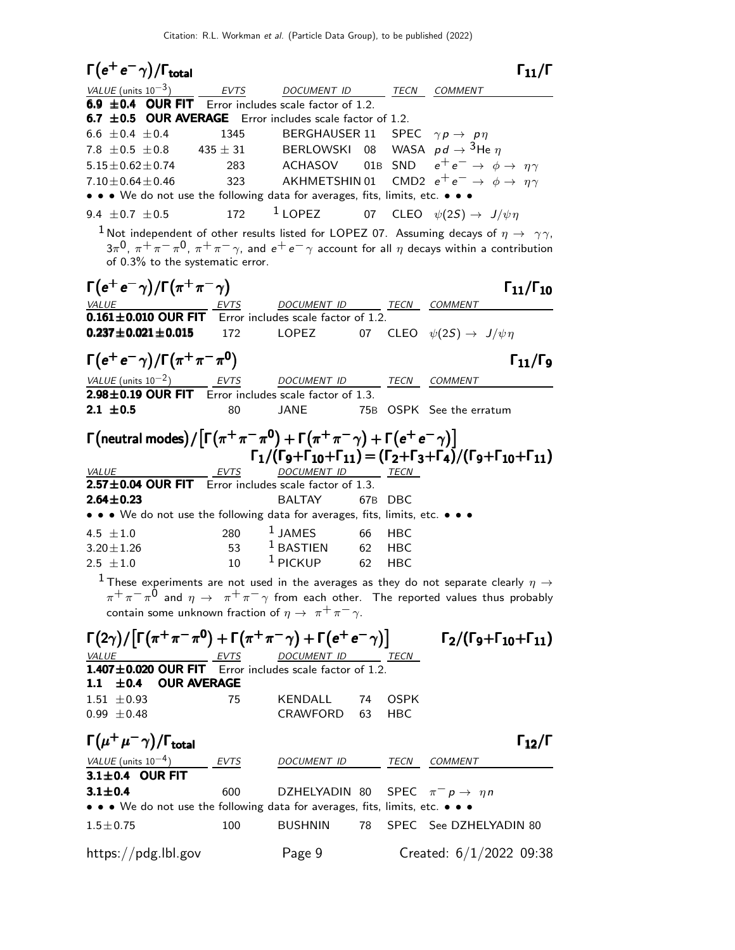| $\Gamma(e^+e^-\gamma)/\Gamma_{\rm total}$                                                                                                                                                                                                                                          |             |                    |          |                   |                                                                                                                 | $\Gamma_{11}/\Gamma$      |
|------------------------------------------------------------------------------------------------------------------------------------------------------------------------------------------------------------------------------------------------------------------------------------|-------------|--------------------|----------|-------------------|-----------------------------------------------------------------------------------------------------------------|---------------------------|
| $\frac{VALUE \text{ (units 10}^{-3})}{6.9 \pm 0.4}$ OUR FIT Error includes scale factor of 1.2.                                                                                                                                                                                    |             |                    |          |                   | TECN COMMENT                                                                                                    |                           |
|                                                                                                                                                                                                                                                                                    |             |                    |          |                   |                                                                                                                 |                           |
| 6.7 $\pm$ 0.5 OUR AVERAGE Error includes scale factor of 1.2.                                                                                                                                                                                                                      |             |                    |          |                   |                                                                                                                 |                           |
| 6.6 $\pm$ 0.4 $\pm$ 0.4                                                                                                                                                                                                                                                            |             | 1345 BERGHAUSER 11 |          |                   | SPEC $\gamma p \rightarrow p \eta$                                                                              |                           |
| 7.8 $\pm$ 0.5 $\pm$ 0.8 435 $\pm$ 31 BERLOWSKI 08 WASA $pd \rightarrow$ <sup>3</sup> He $\eta$                                                                                                                                                                                     |             |                    |          |                   | ACHASOV 01B SND $e^+e^- \rightarrow \phi \rightarrow \eta \gamma$                                               |                           |
| $5.15 \pm 0.62 \pm 0.74$                                                                                                                                                                                                                                                           | 283         |                    |          |                   |                                                                                                                 |                           |
| $7.10 \pm 0.64 \pm 0.46$                                                                                                                                                                                                                                                           | 323         |                    |          |                   | AKHMETSHIN 01 $\,$ CMD2 $\,$ e $^+$ e $^-\,$ $\rightarrow$ $\,$ $\phi$ $\rightarrow$ $\,$ $\eta\gamma$          |                           |
| • • • We do not use the following data for averages, fits, limits, etc. • • •<br>9.4 $\pm$ 0.7 $\pm$ 0.5                                                                                                                                                                           | 172         | $1$ LOPEZ          |          |                   | 07 CLEO $\psi(2S) \rightarrow J/\psi \eta$                                                                      |                           |
|                                                                                                                                                                                                                                                                                    |             |                    |          |                   |                                                                                                                 |                           |
| $^1$ Not independent of other results listed for LOPEZ 07. Assuming decays of $\eta \rightarrow \gamma \gamma$ ,<br>$3\pi^0$ , $\pi^+\pi^-\pi^0$ , $\pi^+\pi^-\gamma$ , and $e^+e^-\gamma$ account for all $\eta$ decays within a contribution<br>of 0.3% to the systematic error. |             |                    |          |                   |                                                                                                                 |                           |
| $\Gamma(e^+e^-\gamma)/\Gamma(\pi^+\pi^-\gamma)$                                                                                                                                                                                                                                    |             |                    |          |                   |                                                                                                                 | $\Gamma_{11}/\Gamma_{10}$ |
| $\underbrace{VALUE}$ $\underbrace{EVTS}$ DOCUMENT ID TECN COMMENT<br><b>0.161±0.010 OUR FIT</b> Error includes scale factor of 1.2.                                                                                                                                                |             |                    |          |                   |                                                                                                                 |                           |
|                                                                                                                                                                                                                                                                                    |             |                    |          |                   |                                                                                                                 |                           |
| $0.237 \pm 0.021 \pm 0.015$ 172                                                                                                                                                                                                                                                    |             |                    |          |                   | LOPEZ 07 CLEO $\psi(2S) \rightarrow J/\psi \eta$                                                                |                           |
| $\Gamma(e^+e^-\gamma)/\Gamma(\pi^+\pi^-\pi^0)$                                                                                                                                                                                                                                     |             |                    |          |                   |                                                                                                                 | $\Gamma_{11}/\Gamma_{9}$  |
| $\underline{\text{VALUE}}$ (units 10 <sup>-2</sup> ) EVTS DOCUMENT ID<br><b>2.98±0.19 OUR FIT</b> Error includes scale factor of 1.3.                                                                                                                                              |             | DOCUMENT ID        |          |                   | TECN COMMENT                                                                                                    |                           |
|                                                                                                                                                                                                                                                                                    |             |                    |          |                   |                                                                                                                 |                           |
| 2.1 $\pm 0.5$                                                                                                                                                                                                                                                                      | 80          | <b>JANE</b>        |          |                   | 75B OSPK See the erratum                                                                                        |                           |
| $\Gamma(\mathsf{neutral~modes})/\lceil \Gamma(\pi^+\pi^-\pi^0)+\Gamma(\pi^+\pi^-\gamma)+\Gamma(e^+e^-\gamma)\rceil$                                                                                                                                                                |             |                    |          |                   | $\Gamma_1/(\Gamma_9+\Gamma_{10}+\Gamma_{11}) = (\Gamma_2+\Gamma_3+\Gamma_4)/(\Gamma_9+\Gamma_{10}+\Gamma_{11})$ |                           |
| VALUE                                                                                                                                                                                                                                                                              | EVTS        | DOCUMENT ID TECN   |          |                   |                                                                                                                 |                           |
| 2.57±0.04 OUR FIT Error includes scale factor of 1.3.                                                                                                                                                                                                                              |             |                    |          |                   |                                                                                                                 |                           |
| $2.64 \pm 0.23$<br>• • • We do not use the following data for averages, fits, limits, etc. • • •                                                                                                                                                                                   |             | <b>BALTAY</b>      |          | 67B DBC           |                                                                                                                 |                           |
|                                                                                                                                                                                                                                                                                    |             | $1$ JAMES          |          |                   |                                                                                                                 |                           |
| 4.5 $\pm 1.0$                                                                                                                                                                                                                                                                      | 280<br>53   | $1$ BASTIEN        | 66       | <b>HBC</b>        |                                                                                                                 |                           |
| $3.20 \pm 1.26$<br>$2.5 \pm 1.0$                                                                                                                                                                                                                                                   | 10          | $1$ PICKUP         | 62<br>62 | HBC<br><b>HBC</b> |                                                                                                                 |                           |
| $^1$ These experiments are not used in the averages as they do not separate clearly $\eta \rightarrow$                                                                                                                                                                             |             |                    |          |                   |                                                                                                                 |                           |
| $\pi^+\pi^-\pi^0$ and $\eta \to \pi^+\pi^-\gamma$ from each other. The reported values thus probably                                                                                                                                                                               |             |                    |          |                   |                                                                                                                 |                           |
| contain some unknown fraction of $\eta \to \pi^+ \pi^- \gamma$ .                                                                                                                                                                                                                   |             |                    |          |                   |                                                                                                                 |                           |
| $\Gamma(2\gamma)/\lceil\Gamma(\pi^+\pi^-\pi^0)+\Gamma(\pi^+\pi^-\gamma)+\Gamma(e^+e^-\gamma)\rceil$                                                                                                                                                                                |             |                    |          |                   | $\Gamma_2/(\Gamma_9 + \Gamma_{10} + \Gamma_{11})$                                                               |                           |
| VALUE                                                                                                                                                                                                                                                                              |             |                    |          |                   |                                                                                                                 |                           |
| $\underbrace{VALU E}$ EVTS DOCUMENT ID TECN<br>1.407±0.020 OUR FIT Error includes scale factor of 1.2.                                                                                                                                                                             |             |                    |          |                   |                                                                                                                 |                           |
| <b>OUR AVERAGE</b><br>1.1 $\pm$ 0.4                                                                                                                                                                                                                                                |             |                    |          |                   |                                                                                                                 |                           |
| $1.51 \pm 0.93$                                                                                                                                                                                                                                                                    | 75          | KENDALL            | 74       | <b>OSPK</b>       |                                                                                                                 |                           |
| $0.99 \pm 0.48$                                                                                                                                                                                                                                                                    |             | CRAWFORD           | 63       | HBC               |                                                                                                                 |                           |
| $\Gamma(\mu^+\mu^-\gamma)/\Gamma_{\rm total}$                                                                                                                                                                                                                                      |             |                    |          |                   |                                                                                                                 | $\Gamma_{12}/\Gamma$      |
| <u>VALUE (units <math>10^{-4}</math>)</u><br>3.1±0.4 OUR FIT                                                                                                                                                                                                                       | <b>EVTS</b> | DOCUMENT ID        |          | TECN              | COMMENT                                                                                                         |                           |
| $3.1 \pm 0.4$                                                                                                                                                                                                                                                                      | 600         | DZHELYADIN 80      |          |                   | SPEC $\pi^- p \to \eta n$                                                                                       |                           |
| $\bullet\,\bullet\,\bullet\,$ We do not use the following data for averages, fits, limits, etc. $\bullet\,\bullet\,\bullet\,\bullet$                                                                                                                                               |             |                    |          |                   |                                                                                                                 |                           |
| $1.5 \pm 0.75$                                                                                                                                                                                                                                                                     | 100         | <b>BUSHNIN</b>     | 78       |                   | SPEC See DZHELYADIN 80                                                                                          |                           |
| https://pdg.lbl.gov                                                                                                                                                                                                                                                                |             | Page 9             |          |                   | Created: $6/1/2022$ 09:38                                                                                       |                           |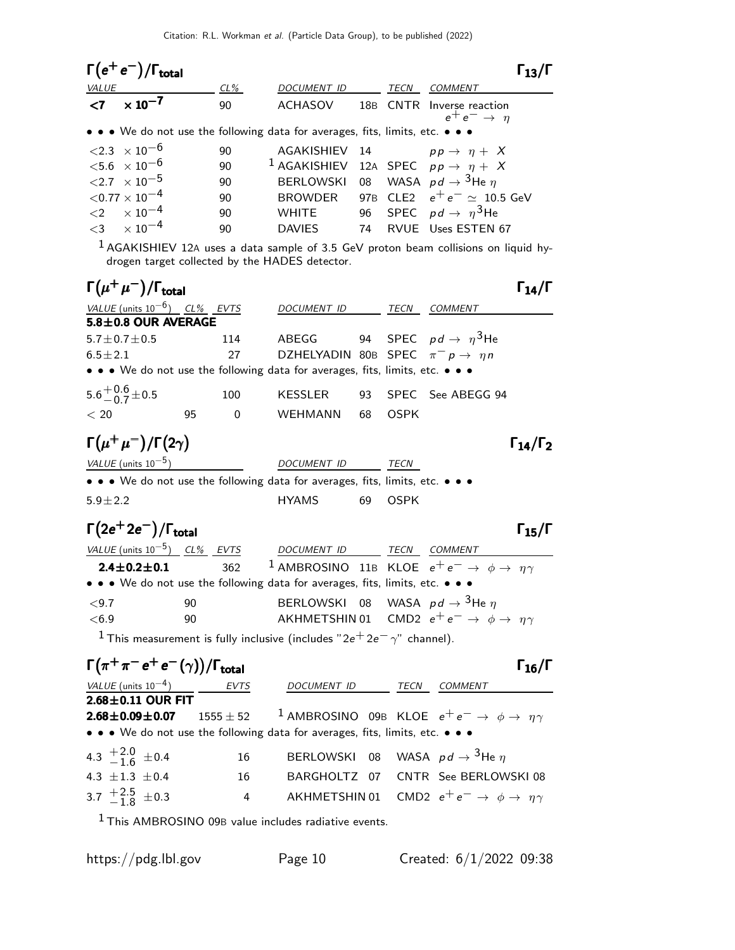| $\Gamma(e^+e^-)/\Gamma_{\text{total}}$     |        |                                                                               |      |                                                        |
|--------------------------------------------|--------|-------------------------------------------------------------------------------|------|--------------------------------------------------------|
| VALUE                                      | $CL\%$ | <b>DOCUMENT ID</b>                                                            | TECN | COMMENT                                                |
| $\times$ 10 $^{-7}$<br>$\langle 7 \rangle$ | 90     | ACHASOV                                                                       |      | 18B CNTR Inverse reaction<br>$e^+e^- \rightarrow \eta$ |
|                                            |        | • • • We do not use the following data for averages, fits, limits, etc. • • • |      |                                                        |
| $\langle 2.3 \times 10^{-6} \rangle$       | 90     | AGAKISHIEV 14 $pp \rightarrow \eta + X$                                       |      |                                                        |
| ${<}5.6 \times 10^{-6}$                    | 90     | <sup>1</sup> AGAKISHIEV 12A SPEC $pp \rightarrow \eta + X$                    |      |                                                        |
| ${<}2.7 \times 10^{-5}$                    | 90     | BERLOWSKI 08 WASA $pd \rightarrow$ <sup>3</sup> He $\eta$                     |      |                                                        |
| $<$ 0.77 $\times$ 10 $^{-4}$               | 90     |                                                                               |      | BROWDER 97B CLE2 $e^+e^- \simeq 10.5$ GeV              |
| $\langle 2 \times 10^{-4} \rangle$         | 90     | <b>WHITE</b>                                                                  |      | 96 SPEC $pd \rightarrow \eta^3$ He                     |
| $<$ 3 $\times 10^{-4}$                     | 90     | <b>DAVIES</b><br>74                                                           |      | RVUE Uses ESTEN 67                                     |

1 AGAKISHIEV 12<sup>A</sup> uses a data sample of 3.5 GeV proton beam collisions on liquid hydrogen target collected by the HADES detector.

| $\Gamma(\mu^+\mu^-)/\Gamma_{\rm total}$ |    |                |                                                                               |    |             |                      | $\Gamma_{14}/\Gamma$   |
|-----------------------------------------|----|----------------|-------------------------------------------------------------------------------|----|-------------|----------------------|------------------------|
| VALUE (units $10^{-6}$ ) CL% EVTS       |    |                | DOCUMENT ID                                                                   |    | TECN        | COMMENT              |                        |
| $5.8 \pm 0.8$ OUR AVERAGE               |    |                |                                                                               |    |             |                      |                        |
| $5.7 + 0.7 + 0.5$                       |    | 114            | ABEGG 94 SPEC $pd \rightarrow \eta^3$ He                                      |    |             |                      |                        |
| $6.5 + 2.1$                             |    | 27             | DZHELYADIN 80B SPEC $\pi^- p \to \eta n$                                      |    |             |                      |                        |
|                                         |    |                | • • • We do not use the following data for averages, fits, limits, etc. • • • |    |             |                      |                        |
| $5.6^{+0.6}_{-0.7}$ ± 0.5               |    | 100            | KESSLER                                                                       |    |             | 93 SPEC See ABEGG 94 |                        |
| < 20                                    | 95 | $\overline{0}$ | WEHMANN                                                                       | 68 | <b>OSPK</b> |                      |                        |
| $\Gamma(\mu^+\mu^-)/\Gamma(2\gamma)$    |    |                |                                                                               |    |             |                      | $\Gamma_{14}/\Gamma_2$ |
| VALUE (units $10^{-5}$ )                |    |                | DOCUMENT ID                                                                   |    | TECN        |                      |                        |
|                                         |    |                | • • • We do not use the following data for averages, fits, limits, etc. • • • |    |             |                      |                        |
| $5.9 + 2.2$                             |    |                | <b>HYAMS</b>                                                                  | 69 | OSPK        |                      |                        |

# $\Gamma(2e^+2e^-)/\Gamma_{\text{total}}$

| VALUE (units $10^{-5}$ ) CL% EVTS |     | DOCUMENT ID                                                                       | TECN | COMMENT                                                              |
|-----------------------------------|-----|-----------------------------------------------------------------------------------|------|----------------------------------------------------------------------|
| $2.4 \pm 0.2 \pm 0.1$             | 362 | <sup>1</sup> AMBROSINO 11B KLOE $e^+e^- \rightarrow \phi \rightarrow \eta \gamma$ |      |                                                                      |
|                                   |     | • • • We do not use the following data for averages, fits, limits, etc. • • •     |      |                                                                      |
| ${<}9.7$                          | 90  | BERLOWSKI 08 WASA $pd \rightarrow 3$ He $\eta$                                    |      |                                                                      |
| <6.9                              | 90  |                                                                                   |      | AKHMETSHIN 01 CMD2 $e^+e^- \rightarrow \phi \rightarrow \eta \gamma$ |
|                                   |     | $1 - 1$                                                                           |      |                                                                      |

<sup>1</sup> This measurement is fully inclusive (includes "2e<sup>+</sup> 2e<sup>-</sup>  $\gamma$ " channel).

| $\Gamma(\pi^+\pi^-e^+e^-(\gamma))/\Gamma_{\rm total}$ |             |                                                                                   |      | $\Gamma_{16}/\Gamma$                                                 |
|-------------------------------------------------------|-------------|-----------------------------------------------------------------------------------|------|----------------------------------------------------------------------|
| VALUE (units $10^{-4}$ ) EVTS                         |             | <b>DOCUMENT ID</b>                                                                | TECN | <b>COMMENT</b>                                                       |
| $2.68 \pm 0.11$ OUR FIT                               |             |                                                                                   |      |                                                                      |
| $2.68 \pm 0.09 \pm 0.07$                              | $1555 + 52$ | <sup>1</sup> AMBROSINO 09B KLOE $e^+e^- \rightarrow \phi \rightarrow \eta \gamma$ |      |                                                                      |
|                                                       |             | • • • We do not use the following data for averages, fits, limits, etc. • • •     |      |                                                                      |
| 4.3 $\frac{+2.0}{-1.6}$ ± 0.4                         | 16          | BERLOWSKI 08 WASA $pd \rightarrow$ <sup>3</sup> He $\eta$                         |      |                                                                      |
| 4.3 $\pm 1.3 \pm 0.4$                                 | 16          |                                                                                   |      | BARGHOLTZ 07 CNTR See BERLOWSKI08                                    |
| 3.7 $\frac{+2.5}{-1.8}$ ± 0.3                         | 4           |                                                                                   |      | AKHMETSHIN 01 CMD2 $e^+e^- \rightarrow \phi \rightarrow \eta \gamma$ |
|                                                       |             |                                                                                   |      |                                                                      |

<sup>1</sup> This AMBROSINO 09B value includes radiative events.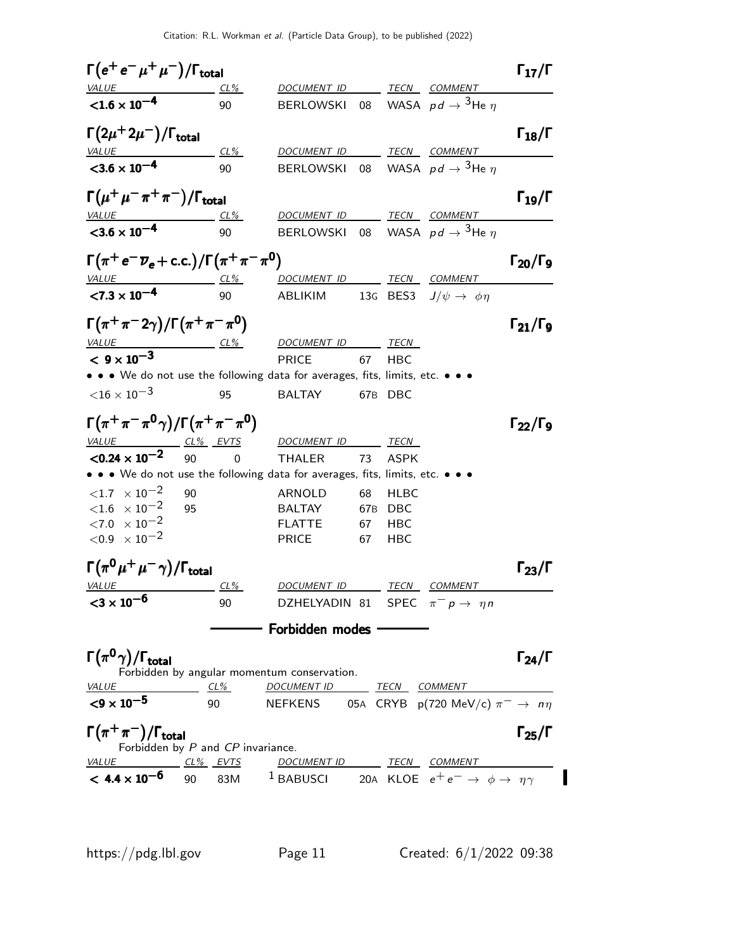$\Gamma(e^+e^-\mu^+\mu^-)/\Gamma_{\text{total}}$  Γ<sub>17</sub>/Γ DOCUMENT ID TECN COMMENT  $<$  1.6  $\times$  10<sup>-4</sup> 90 BERLOWSKI 08 WASA  $pd \rightarrow 3$ He  $n$  $\Gamma(2\mu^+2\mu^-)/\Gamma_{\rm total}$  Γ<sub>18</sub>/Γ total and the set of the set of the set of the set of the set of the set of the set of the set of the set of t VALUE CL% DOCUMENT ID TECN COMMENT  $<$ 3.6  $\times$  10<sup>-4</sup> 90 BERLOWSKI 08 WASA  $pd \rightarrow 3$ He  $\eta$  $\Gamma(\mu^+\mu^-\pi^+\pi^-)/\Gamma_{\rm total}$  Γ<sub>19</sub>/Γ VALUE CL% DOCUMENT ID TECN COMMENT  $<$ 3.6  $\times$  10<sup>-4</sup> 90 BERLOWSKI 08 WASA  $pd \rightarrow 3$ He  $\eta$  $\Gamma(\pi^+e^-\overline{\nu}_e+\text{c.c.})/\Gamma(\pi^+\pi^-\pi^0)$  Γ<sub>20</sub>/Γ<sub>9</sub> Γ20/ΓVALUE CL<sup>%</sup> DOCUMENT ID TECN COMMENT  $< 7.3 \times 10^{-4}$ ABLIKIM 13G BES3  $J/\psi \rightarrow \phi \eta$  $\Gamma(\pi^{+}\pi^{-}2\gamma)/\Gamma(\pi^{+}\pi^{-}\pi^{0})$  Γ<sub>21</sub>/Γ<sub>9</sub>  $\Gamma_{21}/\Gamma_{9}$ VALUE CL<sup>%</sup> DOCUMENT ID TECN <sup>&</sup>lt; <sup>9</sup> <sup>×</sup> <sup>10</sup>−<sup>3</sup> <sup>9</sup>×10−<sup>3</sup> <sup>&</sup>lt; <sup>9</sup> <sup>×</sup> <sup>9</sup>×PRICE 67 HBC • • • We do not use the following data for averages, fits, limits, etc. • • •  $<$ 16  $\times$  10 $^{-3}$  95 BALTAY 67B DBC  $\Gamma(\pi^{+}\pi^{-}\pi^{0}\gamma)/\Gamma(\pi^{+}\pi^{-}\pi^{0})$  Γ<sub>22</sub>/Γ<sub>9</sub>  $\Gamma_{22}/\Gamma_{9}$ VALUE CL% EVTS DOCUMENT ID TECN  $<$ 0.24  $\times$  10 $^{-2}$ 90 0 THALER 73 ASPK • • • We do not use the following data for averages, fits, limits, etc. • • •  $\langle 1.7 \times 10^{-2}$  90 ARNOLD 68 HLBC  $<$ 1.6  $\times$  10<sup>-2</sup> 95 BALTAY 67B DBC  $\langle 7.0 \times 10^{-2}$  FLATTE 67 HBC  $<$ 0.9  $\times$  10 $^{-2}$  PRICE 67 HBC  $\Gamma(\pi^0\,\mu^+\,\mu^-\,\gamma)$ / $\Gamma_{\rm total}$  $\Gamma_{23}/\Gamma$ DOCUMENT ID TECN COMMENT <sup>&</sup>lt;<sup>3</sup> <sup>×</sup> <sup>10</sup>−<sup>6</sup> <sup>3</sup> <sup>×</sup> <sup>10</sup>−<sup>6</sup> <sup>&</sup>lt;<sup>3</sup> <sup>×</sup> <sup>3</sup> <sup>×</sup> 90 DZHELYADIN 81 SPEC  $\pi^- p \to \eta n$ Forbidden modes  $\Gamma(\pi^0\gamma)/\Gamma_{\rm total}$  Γ<sub>24</sub>/Γ Forbidden by angular momentum conservation.<br>VALUE CL% DOCUMENT ID CL% DOCUMENT ID TECN COMMENT  $<$ 9 × 10<sup>-5</sup> 90 NEFKENS 05A CRYB p(720 MeV/c)  $\pi^- \rightarrow n\eta$  $\Gamma(\pi^+\pi^-)/\Gamma_{\rm total}$ /Γ $_{\rm total}$ Γ $_{\rm 25}/$ Γ Forbidden by P and CP invariance. VALUE CL<sup>%</sup> EVTS DOCUMENT ID TECN COMMENT  $< 4.4 \times 10^{-6}$ 90 83M <sup>1</sup> BABUSCI 20A KLOE  $e^+e^- \rightarrow \phi \rightarrow \eta \gamma$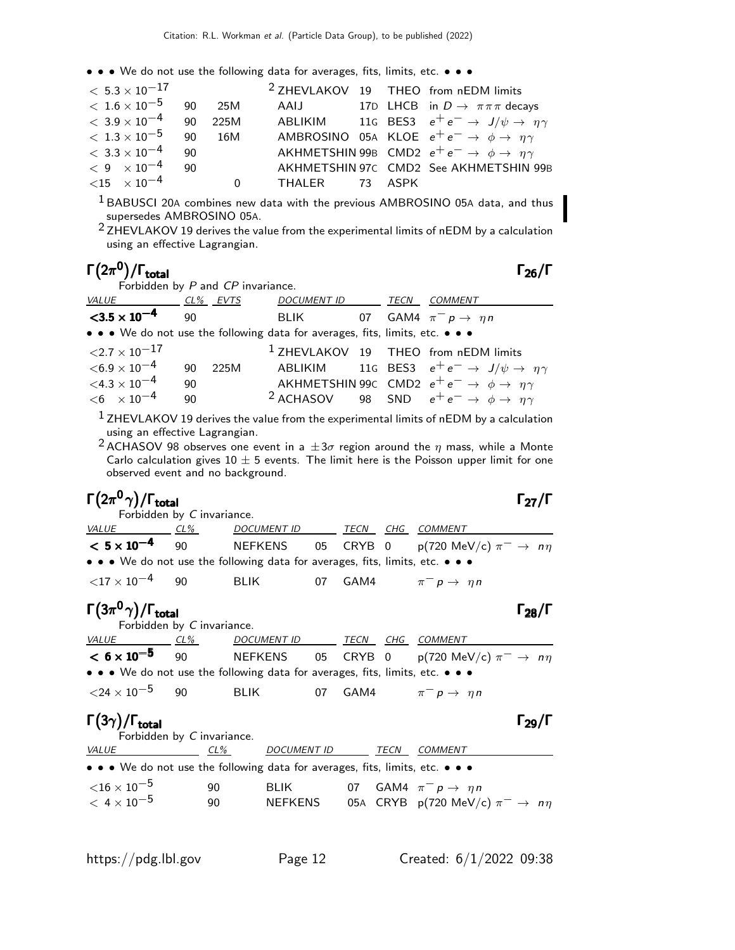| $<\,5.3\times10^{-17}$           |    |          |                |  | <sup>2</sup> ZHEVLAKOV 19 THEO from nEDM limits                       |
|----------------------------------|----|----------|----------------|--|-----------------------------------------------------------------------|
| $<\,1.6\times10^{-5}$            | 90 | 25M      |                |  | AAIJ 17D LHCB in $D \to \pi \pi \pi$ decays                           |
| $<\,3.9\times10^{-4}$            | 90 | 225M     |                |  | ABLIKIM 11G BES3 $e^+e^- \rightarrow J/\psi \rightarrow \eta \gamma$  |
| $<\rm~1.3\times 10^{-5}$         | 90 | 16M      |                |  | AMBROSINO 05A KLOE $e^+e^- \rightarrow \phi \rightarrow \eta \gamma$  |
| $< 3.3 \times 10^{-4}$           | 90 |          |                |  | AKHMETSHIN 99B CMD2 $e^+e^- \rightarrow \phi \rightarrow \eta \gamma$ |
| $< 9 \times 10^{-4}$             | 90 |          |                |  | AKHMETSHIN 97C CMD2 See AKHMETSHIN 99B                                |
| $<$ 15 $\times$ 10 <sup>-4</sup> |    | $\Omega$ | THALER 73 ASPK |  |                                                                       |

 $1$  BABUSCI 20A combines new data with the previous AMBROSINO 05A data, and thus supersedes AMBROSINO 05A.

 $2$  ZHEVLAKOV 19 derives the value from the experimental limits of nEDM by a calculation using an effective Lagrangian.

#### Γ $(2\pi^0)/\Gamma_{\text{total}}$  Γ $_{26}/\Gamma$ /Γ<sub>total</sub> Γ<sub>26</sub>/Γ

 $\Gamma_{27}/\Gamma$ 

| Forbidden by P and CP invariance. |     |      |                                                                               |  |                                                                               |
|-----------------------------------|-----|------|-------------------------------------------------------------------------------|--|-------------------------------------------------------------------------------|
| VALUE CL% EVTS                    |     |      | DOCUMENT ID TECN                                                              |  | <b>COMMENT</b>                                                                |
| $<$ 3.5 $\times$ 10 <sup>-4</sup> | -90 |      | BLIK 07 GAM4 $\pi^- p \rightarrow \eta n$                                     |  |                                                                               |
|                                   |     |      | • • • We do not use the following data for averages, fits, limits, etc. • • • |  |                                                                               |
| $<$ 2.7 $\times$ 10 $^{-17}$      |     |      |                                                                               |  | <sup>1</sup> ZHEVLAKOV 19 THEO from nEDM limits                               |
| $<$ 6.9 $\times$ 10 $^{-4}$       | 90  | 225M |                                                                               |  | ABLIKIM 11G BES3 $e^+e^- \rightarrow J/\psi \rightarrow \eta \gamma$          |
| $<$ 4.3 $\times$ 10 $^{-4}$       | 90  |      |                                                                               |  | AKHMETSHIN 99C CMD2 $e^+e^- \rightarrow \phi \rightarrow \eta \gamma$         |
| $< 6 \times 10^{-4}$              | 90  |      |                                                                               |  | <sup>2</sup> ACHASOV 98 SND $e^+e^- \rightarrow \phi \rightarrow \eta \gamma$ |

 $<sup>1</sup>$  ZHEVLAKOV 19 derives the value from the experimental limits of nEDM by a calculation</sup> using an effective Lagrangian.

<sup>2</sup> ACHASOV 98 observes one event in a  $\pm 3\sigma$  region around the  $\eta$  mass, while a Monte Carlo calculation gives  $10 \pm 5$  events. The limit here is the Poisson upper limit for one observed event and no background.

## Γ $(2\pi^0 \gamma)/\Gamma_{\text{total}}$

Forbidden by C invariance. VALUE CL% DOCUMENT ID TECN CHG COMMENT  $< 5 \times 10^{-4}$ 90 NEFKENS 05 CRYB 0  $p(720 \text{ MeV/c}) \pi^- \rightarrow n\eta$ • • • We do not use the following data for averages, fits, limits, etc. • • •  $\langle 17 \times 10^{-4}$  90 BLIK 07 GAM4  $\pi^- p \to \eta n$ 

#### Γ $(3\pi^0 \gamma)/\Gamma_{\rm total}$ /Γ $_{\rm total}$  Γ $_{28}/$  Γ

Forbidden by C invariance.<br>VALUE CL% DOC <u>CL% DOCUMENT ID TECN CHG COMMENT</u>  $< 6 \times 10^{-5}$ 90 NEFKENS 05 CRYB 0 p(720 MeV/c)  $\pi^- \rightarrow n\eta$ • • • We do not use the following data for averages, fits, limits, etc. • • •  $\langle 24 \times 10^{-5}$  90 BLIK 07 GAM4  $\pi^- p \to \eta n$ 

### Γ $(3\gamma)$ /Γ<sub>total</sub> Γ<sub>29</sub>/Γ

| Forbidden by C invariance.                                                    |     |                    |      |                                                 |
|-------------------------------------------------------------------------------|-----|--------------------|------|-------------------------------------------------|
| <i>VALUE</i>                                                                  | CL% | <i>DOCUMENT ID</i> | TECN | <b>COMMENT</b>                                  |
| • • • We do not use the following data for averages, fits, limits, etc. • • • |     |                    |      |                                                 |
| ${<}16\times10^{-5}$                                                          | 90  | BI IK I            |      | 07 GAM4 $\pi^- p \rightarrow n p$               |
| $< 4 \times 10^{-5}$                                                          | 90  | <b>NEFKENS</b>     |      | 05A CRYB p(720 MeV/c) $\pi^- \rightarrow n\eta$ |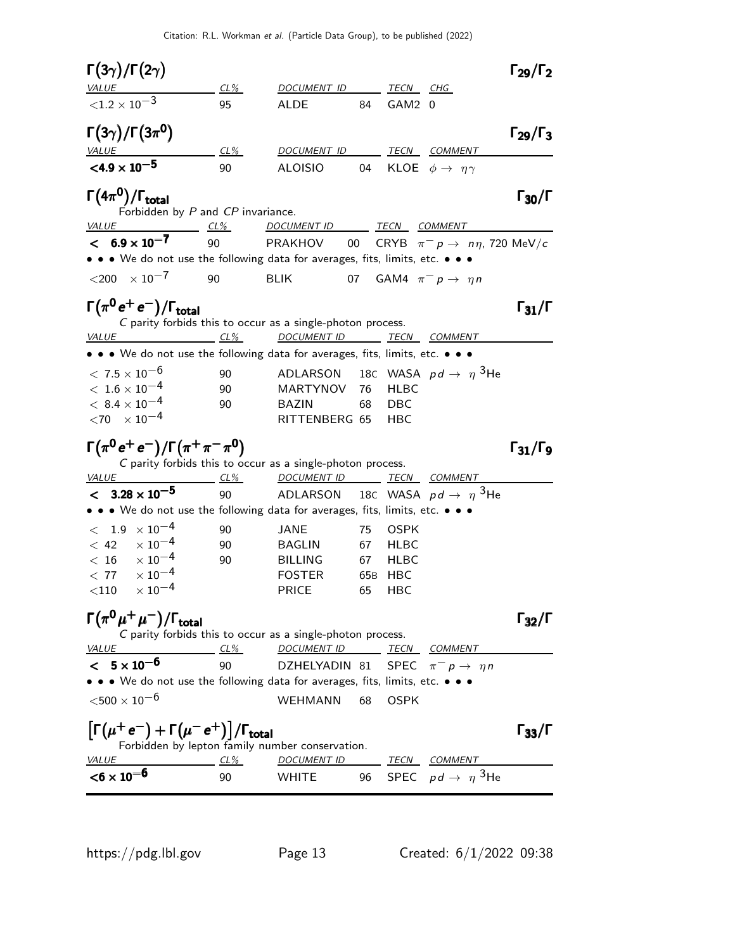| $\Gamma(3\gamma)/\Gamma(2\gamma)$                                             |        |                                                                                        |                 |             |                                                | $\Gamma_{29}/\Gamma_2$   |
|-------------------------------------------------------------------------------|--------|----------------------------------------------------------------------------------------|-----------------|-------------|------------------------------------------------|--------------------------|
|                                                                               | CL%    | DOCUMENT ID                                                                            |                 | TECN        | CHG                                            |                          |
| ${<}1.2 \times 10^{-3}$                                                       | 95     | <b>ALDE</b>                                                                            | 84              | GAM2 0      |                                                |                          |
| $\Gamma(3\gamma)/\Gamma(3\pi^0)$                                              |        |                                                                                        |                 |             |                                                | $\Gamma_{29}/\Gamma_3$   |
| <u>VALUE</u>                                                                  | $CL\%$ | DOCUMENT ID                                                                            |                 | TECN        | <b>COMMENT</b>                                 |                          |
| $<$ 4.9 $\times$ 10 <sup>-5</sup>                                             | 90     | <b>ALOISIO</b>                                                                         | 04              |             | KLOE $\phi \rightarrow \eta \gamma$            |                          |
| $\Gamma(4\pi^0)/\Gamma_{\rm total}$<br>Forbidden by P and CP invariance.      |        |                                                                                        |                 |             |                                                | $\Gamma_{30}/\Gamma$     |
| VALUE                                                                         | $CL\%$ | DOCUMENT ID TECN COMMENT                                                               |                 |             |                                                |                          |
| $< 6.9 \times 10^{-7}$                                                        | 90     | PRAKHOV                                                                                | 00              |             | CRYB $\pi^- p \to n\eta$ , 720 MeV/c           |                          |
| • • • We do not use the following data for averages, fits, limits, etc. • • • |        |                                                                                        |                 |             |                                                |                          |
| $<$ 200 $\times 10^{-7}$                                                      | 90     | <b>BLIK</b><br>07                                                                      |                 |             | GAM4 $\pi^- p \rightarrow \eta n$              |                          |
| $\Gamma(\pi^0\,e^+\,e^-)/\Gamma_{\rm total}$<br>$CL\%$<br><i>VALUE</i>        |        | C parity forbids this to occur as a single-photon process.<br>DOCUMENT ID TECN COMMENT |                 |             |                                                | $\Gamma_{31}/\Gamma$     |
| • • • We do not use the following data for averages, fits, limits, etc. • • • |        |                                                                                        |                 |             |                                                |                          |
| $< 7.5 \times 10^{-6}$                                                        | 90     | ADLARSON 18C WASA $pd \rightarrow \eta$ <sup>3</sup> He                                |                 |             |                                                |                          |
| $<\,1.6\times10^{-4}$                                                         | 90     | <b>MARTYNOV</b>                                                                        | 76              | <b>HLBC</b> |                                                |                          |
| $<\,8.4\times10^{-4}$                                                         | 90     | <b>BAZIN</b>                                                                           | 68              | DBC         |                                                |                          |
| $<$ 70 $\times$ 10 $^{-4}$                                                    |        | RITTENBERG 65                                                                          |                 | нвс         |                                                |                          |
| $\Gamma(\pi^0 e^+ e^-)/\Gamma(\pi^+ \pi^- \pi^0)$<br>$CL\%$<br><i>VALUE</i>   |        | C parity forbids this to occur as a single-photon process.<br>DOCUMENT ID TECN COMMENT |                 |             |                                                | $\Gamma_{31}/\Gamma_{9}$ |
| $< 3.28 \times 10^{-5}$                                                       | 90     | ADLARSON                                                                               |                 |             | 18C WASA $pd \rightarrow \eta$ <sup>3</sup> He |                          |
| • • We do not use the following data for averages, fits, limits, etc. • • •   |        |                                                                                        |                 |             |                                                |                          |
| $<$ 1.9 $\times$ 10 <sup>-4</sup>                                             | 90     | JANE                                                                                   | 75              | <b>OSPK</b> |                                                |                          |
| $\times$ 10 <sup>-4</sup><br>< 42                                             | 90     | <b>BAGLIN</b>                                                                          | 67              | <b>HLBC</b> |                                                |                          |
| $< 16 \times 10^{-4}$                                                         | 90     | <b>BILLING</b>                                                                         | 67              | <b>HLBC</b> |                                                |                          |
| $\times$ 10 $^{-4}$<br>< 77                                                   |        | <b>FOSTER</b>                                                                          | 65 <sub>B</sub> | HBC         |                                                |                          |
| $\times$ $10^{-4}$<br>$<$ 110 $\,$                                            |        | <b>PRICE</b>                                                                           | 65              | HBC         |                                                |                          |
| $\Gamma(\pi^0\mu^+\mu^-)/\Gamma_{\rm total}$                                  |        | C parity forbids this to occur as a single-photon process.                             |                 |             |                                                | $\Gamma_{32}/\Gamma$     |
| <i>VALUE</i>                                                                  | $CL\%$ | DOCUMENT ID                                                                            |                 | TECN        | <i>COMMENT</i>                                 |                          |
| $< 5 \times 10^{-6}$                                                          | 90     | DZHELYADIN 81                                                                          |                 |             | SPEC $\pi^- p \to \eta n$                      |                          |
| • • We do not use the following data for averages, fits, limits, etc. • • •   |        |                                                                                        |                 |             |                                                |                          |
| ${<}500\times10^{-6}$                                                         |        | WEHMANN                                                                                | 68              | <b>OSPK</b> |                                                |                          |
| $\left[\Gamma(\mu^+e^-)+\Gamma(\mu^-e^+)\right]/\Gamma_{\rm total}$           |        | Forbidden by lepton family number conservation.                                        |                 |             |                                                | $\Gamma_{33}/\Gamma$     |
| <i>VALUE</i>                                                                  | $CL\%$ | <i>DOCUMENT ID</i>                                                                     |                 |             | <u>TECN COMMENT</u>                            |                          |
| $<$ 6 $\times$ 10 <sup>-6</sup>                                               | 90     | <b>WHITE</b>                                                                           |                 |             | 96 SPEC $pd \rightarrow \eta$ <sup>3</sup> He  |                          |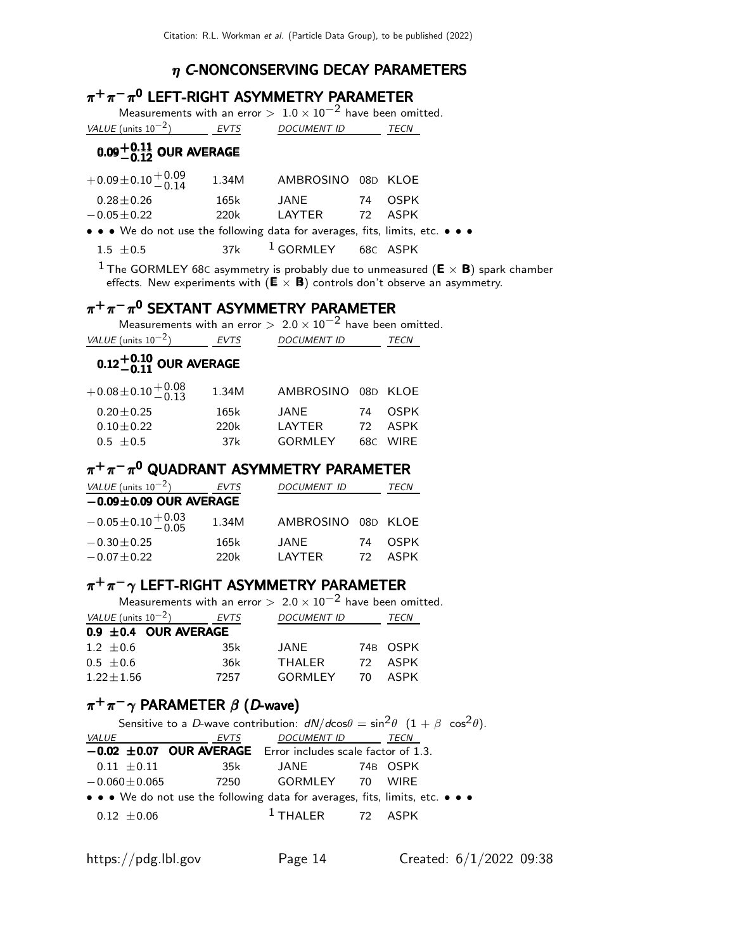### $\eta$  C-NONCONSERVING DECAY PARAMETERS

# $\pi^+\pi^-\pi^{\mathsf{0}}$  LEFT-RIGHT ASYMMETRY PARAMETER

Measurements with an error  $> 1.0 \times 10^{-2}$  have been omitted. VALUE (units  $10^{-2}$ ) EVTS DOCUMENT ID TECN

# $0.09^{+\t0.11}_{-\t0.12}$  OUR AVERAGE

| $+0.09\pm0.10\frac{+0.09}{-0.14}$                                             | 1.34M | AMBROSINO 08D KLOE |         |
|-------------------------------------------------------------------------------|-------|--------------------|---------|
| $0.28\!\pm\!0.26$                                                             | 165k  | JANE               | 74 OSPK |
| $-0.05\!\pm\!0.22$                                                            | 220k  | LAYTER             | 72 ASPK |
| • • • We do not use the following data for averages, fits, limits, etc. • • • |       |                    |         |

 $1.5 \pm 0.5$  37k  $^1$  GORMLEY 68c ASPK

 $^1$  The GORMLEY 68C asymmetry is probably due to unmeasured ( $\boldsymbol{\mathsf{E}}\times\boldsymbol{\mathsf{B}}$ ) spark chamber effects. New experiments with  $(E \times B)$  controls don't observe an asymmetry.

# $\pi^+\pi^-\pi^0$  SEXTANT ASYMMETRY PARAMETER

Measurements with an error  $> 2.0 \times 10^{-2}$  have been omitted.

| VALUE (units $10^{-2}$ )           | <b>EVTS</b> | DOCUMENT ID | TECN |
|------------------------------------|-------------|-------------|------|
| $0.12^{+0.10}_{-0.11}$ OUR AVERAGE |             |             |      |

| $+0.08\pm0.10\frac{+0.08}{-0.13}$ | 1.34M | AMBROSINO 08D KLOE |     |          |
|-----------------------------------|-------|--------------------|-----|----------|
| $0.20 + 0.25$                     | 165k  | JANF               |     | 74 OSPK  |
| $0.10 + 0.22$                     | 220k  | I AYTFR            | 72. | ASPK     |
| $0.5 + 0.5$                       | 37k   | GORMI FY           |     | 68C WIRE |

# $\pi^+\pi^-\pi^0$  QUADRANT ASYMMETRY PARAMETER

| VALUE (units $10^{-2}$ )           | <b>EVTS</b> | <i>DOCUMENT ID</i> | TECN |             |  |  |
|------------------------------------|-------------|--------------------|------|-------------|--|--|
| $-0.09\pm0.09$ OUR AVERAGE         |             |                    |      |             |  |  |
| $-0.05\pm0.10^{+\,0.03}_{-\,0.05}$ | 1.34M       | AMBROSINO 08D KLOE |      |             |  |  |
| $-0.30 \pm 0.25$                   | 165k        | JANE               | 74   | <b>OSPK</b> |  |  |
| $-0.07 \pm 0.22$                   | 220k        | I AYTER            | 72.  | ASPK        |  |  |

# $\pi^+\pi^-\gamma$  LEFT-RIGHT ASYMMETRY PARAMETER

|                               |      | Measurements with an error $> 2.0 \times 10^{-2}$ have been omitted. |          |  |
|-------------------------------|------|----------------------------------------------------------------------|----------|--|
| VALUE (units $10^{-2}$ ) EVTS |      | <b>DOCUMENT ID</b>                                                   | TECN     |  |
| $0.9 \pm 0.4$ OUR AVERAGE     |      |                                                                      |          |  |
| $1.2 \pm 0.6$                 | 35k  | JANE                                                                 | 74B OSPK |  |
| $0.5 \pm 0.6$                 | 36k  | THALER                                                               | 72 ASPK  |  |
| $1.22 \pm 1.56$               | 7257 | GORMLEY 70 ASPK                                                      |          |  |
|                               |      |                                                                      |          |  |

# $\pi^+\pi^-\gamma$  PARAMETER  $\beta$  (D-wave)

|              | Sensitive to a D-wave contribution: $dN/d\cos\theta = \sin^2\theta (1 + \beta \cos^2\theta)$ . |                                                                               |                     |          |             |  |  |  |
|--------------|------------------------------------------------------------------------------------------------|-------------------------------------------------------------------------------|---------------------|----------|-------------|--|--|--|
| <i>VALUE</i> |                                                                                                | EVTS                                                                          | <b>DOCUMENT ID</b>  |          | <b>TECN</b> |  |  |  |
|              |                                                                                                | $-0.02 \pm 0.07$ OUR AVERAGE Error includes scale factor of 1.3.              |                     |          |             |  |  |  |
|              | $0.11\ \pm0.11$                                                                                | 35k                                                                           | JANE                | 74B OSPK |             |  |  |  |
|              | $-0.060 \pm 0.065$                                                                             | 7250                                                                          | GORMLEY 70          |          | <b>WIRF</b> |  |  |  |
|              |                                                                                                | • • • We do not use the following data for averages, fits, limits, etc. • • • |                     |          |             |  |  |  |
|              | $0.12 + 0.06$                                                                                  |                                                                               | $1$ THAI FR 72 ASPK |          |             |  |  |  |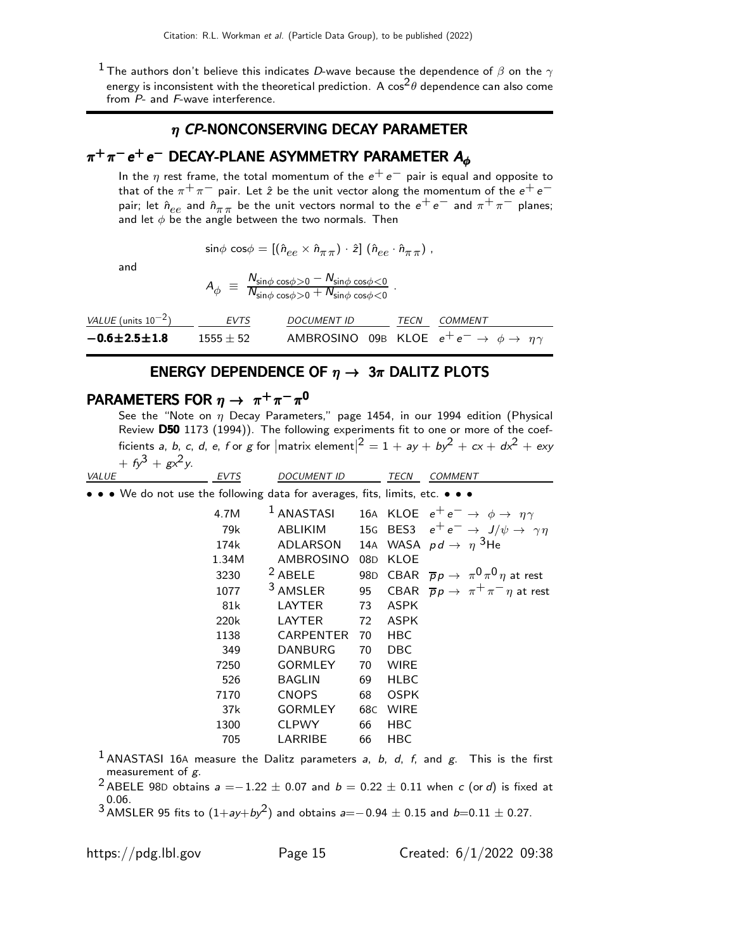$^1$ The authors don't believe this indicates  $D$ -wave because the dependence of  $\beta$  on the  $\gamma$ energy is inconsistent with the theoretical prediction. A  $\cos^2\theta$  dependence can also come from P- and F-wave interference.

#### $\eta$  CP-NONCONSERVING DECAY PARAMETER

# $\pi^+\pi^-$ e $^+$ e $^-$  DECAY-PLANE ASYMMETRY PARAMETER  $A_{\bm{\phi}}$

In the  $\eta$  rest frame, the total momentum of the  $e^+e^-$  pair is equal and opposite to that of the  $\pi^+ \pi^-$  pair. Let  $\hat{z}$  be the unit vector along the momentum of the  $e^+ e^$ pair; let  $\hat{n}_{ee}$  and  $\hat{n}_{\pi\pi}$  be the unit vectors normal to the  $e^+e^-$  and  $\pi^+\pi^-$  planes; and let  $\phi$  be the angle between the two normals. Then

.

$$
\sin\!\phi\,\cos\!\phi=[(\hat{n}_{ee}\times\hat{n}_{\pi\,\pi})\cdot\hat{z}]\;(\hat{n}_{ee}\cdot\hat{n}_{\pi\,\pi})\;,
$$

and

$$
A_{\phi} \equiv \frac{N_{\sin\phi} \cos\phi > 0 - N_{\sin\phi} \cos\phi < 0}{N_{\sin\phi} \cos\phi > 0 + N_{\sin\phi} \cos\phi < 0}
$$

| <i>VALUE</i> (units $10^{-2}$ ) | EVTS        | <i>DOCUMENT ID</i> | <i>TECN COMMENT</i>                                                  |
|---------------------------------|-------------|--------------------|----------------------------------------------------------------------|
| $-0.6 \pm 2.5 \pm 1.8$          | $1555 + 52$ |                    | AMBROSINO 09B KLOE $e^+e^- \rightarrow \phi \rightarrow \eta \gamma$ |

#### ENERGY DEPENDENCE OF  $\eta \rightarrow 3\pi$  DALITZ PLOTS

# PARAMETERS FOR  $\eta \to \pi^+\pi^-\pi^0$

See the "Note on  $\eta$  Decay Parameters," page 1454, in our 1994 edition (Physical Review D50 1173 (1994)). The following experiments fit to one or more of the coefficients a, b, c, d, e, f or g for  $|\text{matrix element}|^2 = 1 + ay + by^2 + cx + dx^2 + exy$ +  $f_y^3 + g_x^2y$ .

| <b>VALUE</b>                                                                  | <b>EVTS</b> | <b>DOCUMENT ID</b>  |                 | TECN        | COMMENT                                                       |
|-------------------------------------------------------------------------------|-------------|---------------------|-----------------|-------------|---------------------------------------------------------------|
| • • • We do not use the following data for averages, fits, limits, etc. • • • |             |                     |                 |             |                                                               |
|                                                                               | 4.7M        | $1$ ANASTASI        |                 |             | 16A KLOE $e^+e^- \rightarrow \phi \rightarrow \eta \gamma$    |
|                                                                               | 79k         | ABLIKIM             |                 |             | 15G BES3 $e^+e^- \rightarrow J/\psi \rightarrow \gamma \eta$  |
|                                                                               | 174k        | ADLARSON            |                 |             | 14A WASA $pd \rightarrow \eta$ <sup>3</sup> He                |
|                                                                               | 1.34M       | AMBROSINO           | 08 <sub>D</sub> | KLOE        |                                                               |
|                                                                               | 3230        | $2$ ABELE           |                 |             | 98D CBAR $\overline{p}p \rightarrow \pi^0 \pi^0 \eta$ at rest |
|                                                                               | 1077        | <sup>3</sup> AMSLER | 95              |             | CBAR $\overline{p}p \rightarrow \pi^+\pi^-\eta$ at rest       |
|                                                                               | 81k         | LAYTER              | 73              | ASPK        |                                                               |
|                                                                               | 220k        | LAYTER              | 72              | ASPK        |                                                               |
|                                                                               | 1138        | CARPENTER           | 70              | <b>HBC</b>  |                                                               |
|                                                                               | 349         | <b>DANBURG</b>      | 70              | <b>DBC</b>  |                                                               |
|                                                                               | 7250        | <b>GORMLEY</b>      | 70              | <b>WIRE</b> |                                                               |
|                                                                               | 526         | <b>BAGLIN</b>       | 69              | <b>HLBC</b> |                                                               |
|                                                                               | 7170        | <b>CNOPS</b>        | 68              | <b>OSPK</b> |                                                               |
|                                                                               | 37k         | <b>GORMLEY</b>      | 68C             | <b>WIRE</b> |                                                               |
|                                                                               | 1300        | <b>CLPWY</b>        | 66              | <b>HBC</b>  |                                                               |
|                                                                               | 705         | LARRIBE             | 66              | HBC         |                                                               |
|                                                                               |             |                     |                 |             |                                                               |

<sup>1</sup> ANASTASI 16A measure the Dalitz parameters a, b, d, f, and g. This is the first measurement of g.

<sup>2</sup> ABELE 98D obtains  $a = -1.22 \pm 0.07$  and  $b = 0.22 \pm 0.11$  when c (or d) is fixed at 0.06.

 $3 \text{AMSLER } 95 \text{ fits to } (1+ay+by^2)$  and obtains  $a=-0.94 \pm 0.15$  and  $b=0.11 \pm 0.27$ .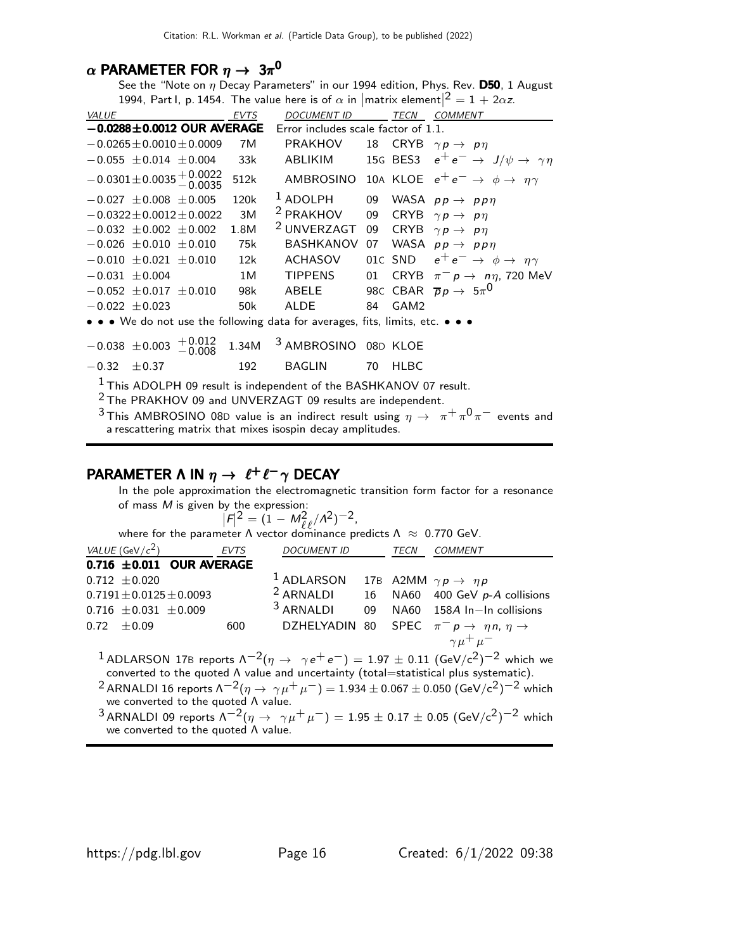### $\alpha$  PARAMETER FOR  $\eta\rightarrow~3\pi^{\mathbf{0}}$

See the "Note on  $\eta$  Decay Parameters" in our 1994 edition, Phys. Rev. **D50**, 1 August 1994, Part I, p. 1454. The value here is of  $\alpha$  in  $\text{parallel}^2 = 1 + 2\alpha z$ .

| <b>VALUE</b>                                                                                                                                                                                                                                                        | <b>EVTS</b>                         | <b>DOCUMENT ID</b>     |    |                  | TECN COMMENT                                                         |  |  |
|---------------------------------------------------------------------------------------------------------------------------------------------------------------------------------------------------------------------------------------------------------------------|-------------------------------------|------------------------|----|------------------|----------------------------------------------------------------------|--|--|
| $-0.0288 \pm 0.0012$ OUR AVERAGE                                                                                                                                                                                                                                    | Error includes scale factor of 1.1. |                        |    |                  |                                                                      |  |  |
| $-0.0265 \pm 0.0010 \pm 0.0009$                                                                                                                                                                                                                                     | 7M                                  | <b>PRAKHOV</b>         | 18 |                  | CRYB $\gamma p \rightarrow p \eta$                                   |  |  |
| $-0.055 \pm 0.014 \pm 0.004$                                                                                                                                                                                                                                        | 33k                                 | ABLIKIM                |    |                  | 15G BES3 $e^+e^- \rightarrow J/\psi \rightarrow \gamma \eta$         |  |  |
| $-0.0301 \pm 0.0035 \pm 0.0022$<br>$-0.0035$                                                                                                                                                                                                                        | 512k                                |                        |    |                  | AMBROSINO 10A KLOE $e^+e^- \rightarrow \phi \rightarrow \eta \gamma$ |  |  |
| $-0.027 \pm 0.008 \pm 0.005$                                                                                                                                                                                                                                        | 120k                                | <sup>1</sup> ADOLPH    | 09 |                  | WASA $pp \rightarrow pp \eta$                                        |  |  |
| $-0.0322 \pm 0.0012 \pm 0.0022$                                                                                                                                                                                                                                     | 3M                                  | <sup>2</sup> PRAKHOV   | 09 | CRYB             | $\gamma p \rightarrow p \eta$                                        |  |  |
| $-0.032 \pm 0.002 \pm 0.002$                                                                                                                                                                                                                                        | 1.8M                                | <sup>2</sup> UNVERZAGT | 09 |                  | CRYB $\gamma p \rightarrow p \eta$                                   |  |  |
| $-0.026 \pm 0.010 \pm 0.010$                                                                                                                                                                                                                                        | 75k                                 | <b>BASHKANOV</b>       | 07 |                  | WASA $pp \rightarrow pp\eta$                                         |  |  |
| $-0.010 \pm 0.021 \pm 0.010$                                                                                                                                                                                                                                        | 12k                                 | <b>ACHASOV</b>         |    | 01C SND          | $e^+e^- \rightarrow \phi \rightarrow \eta \gamma$                    |  |  |
| $-0.031 \pm 0.004$                                                                                                                                                                                                                                                  | 1M                                  | <b>TIPPENS</b>         | 01 |                  | CRYB $\pi^- p \to n\eta$ , 720 MeV                                   |  |  |
| $-0.052 \pm 0.017 \pm 0.010$                                                                                                                                                                                                                                        | 98k                                 | ABELE                  |    |                  | 980 CBAR $\overline{p}p \rightarrow 5\pi^0$                          |  |  |
| $-0.022 \pm 0.023$                                                                                                                                                                                                                                                  | 50 <sub>k</sub>                     | <b>ALDE</b>            | 84 | GAM <sub>2</sub> |                                                                      |  |  |
| • • • We do not use the following data for averages, fits, limits, etc. • • •                                                                                                                                                                                       |                                     |                        |    |                  |                                                                      |  |  |
| $+\,0.012$<br>$-0.038 \pm 0.003$<br>$-0.008$                                                                                                                                                                                                                        | 1.34M                               | 3 AMBROSINO 08D KLOE   |    |                  |                                                                      |  |  |
| $-0.32$<br>$\pm$ 0.37                                                                                                                                                                                                                                               | 192                                 | <b>BAGLIN</b>          | 70 | <b>HLBC</b>      |                                                                      |  |  |
| <sup>1</sup> This ADOLPH 09 result is independent of the BASHKANOV 07 result.<br><sup>2</sup> The PRAKHOV 09 and UNVERZAGT 09 results are independent.<br><sup>3</sup> This AMBROSINO 08D value is an indirect result using $\eta \to \pi^+ \pi^0 \pi^-$ events and |                                     |                        |    |                  |                                                                      |  |  |

a rescattering matrix that mixes isospin decay amplitudes.

# PARAMETER Λ ΙΝ  $\eta \to \ell^+ \ell^- \gamma$  DECAY

In the pole approximation the electromagnetic transition form factor for a resonance of mass  $M$  is given by the expression:

$$
|F|^2 = (1 - M_{\ell\ell}^2 / \Lambda^2)^{-2},
$$

 $|F|^2 = (1 - M_{\ell\ell}^2/\Lambda^2)^{-2}$ ,<br>where for the parameter Λ vector dominance predicts Λ  $\approx$  0.770 GeV.

| VALUE (GeV/ $c^2$ )         | <b>EVTS</b>                    | <i>DOCUMENT ID</i>                                           | TECN | COMMENT                                                                                                                               |
|-----------------------------|--------------------------------|--------------------------------------------------------------|------|---------------------------------------------------------------------------------------------------------------------------------------|
|                             | 0.716 $\pm$ 0.011 OUR AVERAGE  |                                                              |      |                                                                                                                                       |
| $0.712 \pm 0.020$           |                                | <sup>1</sup> ADLARSON 17B A2MM $\gamma p \rightarrow \eta p$ |      |                                                                                                                                       |
|                             | $0.7191 \pm 0.0125 \pm 0.0093$ |                                                              |      | <sup>2</sup> ARNALDI 16 NA60 400 GeV $p$ -A collisions                                                                                |
| $0.716 \pm 0.031 \pm 0.009$ |                                | <sup>3</sup> ARNALDI                                         |      | 09 NA60 158A In-In collisions                                                                                                         |
| $0.72 \pm 0.09$             | 600                            |                                                              |      | DZHELYADIN 80 SPEC $\pi^- p \to \eta n, \eta \to$                                                                                     |
|                             |                                |                                                              |      | $\gamma \mu^+ \mu^-$                                                                                                                  |
|                             |                                |                                                              |      | <sup>1</sup> ADLARSON 17B reports $\Lambda^{-2}(\eta \to \gamma e^+e^-) = 1.97 \pm 0.11$ (GeV/c <sup>2</sup> ) <sup>-2</sup> which we |

converted to the quoted Λ value and uncertainty (total=statistical plus systematic).

 $^{2}$ ARNALDI 16 reports Λ $^{-2}$ ( $\eta \rightarrow \gamma \mu^{+} \mu^{-}) = 1.934 \pm 0.067 \pm 0.050$  (GeV/c<sup>2</sup>) $^{-2}$  which we converted to the quoted Λ value.

 $3$  ARNALDI 09 reports  $\Lambda^{-2}(\eta \to \gamma \mu^+ \mu^-) = 1.95 \pm 0.17 \pm 0.05$  (GeV/c<sup>2</sup>)<sup>-2</sup> which we converted to the quoted Λ value.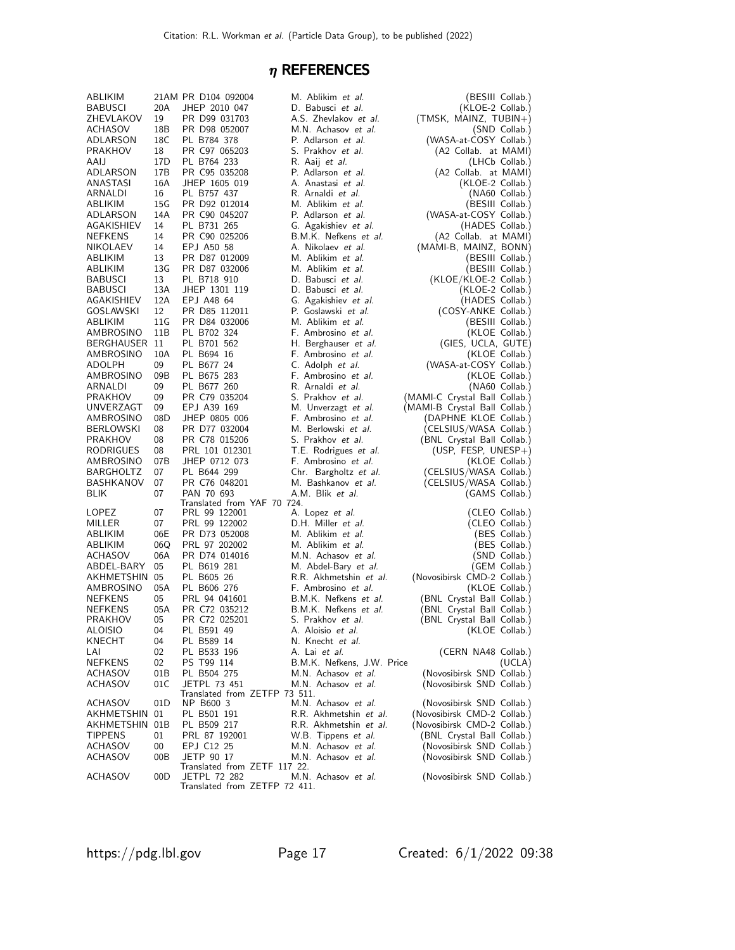## $\eta$  REFERENCES

| ABLIKIM             |                 | 21AM PR D104 092004                                  | M. Ablikim et al.          | (BESIII Collab.)              |
|---------------------|-----------------|------------------------------------------------------|----------------------------|-------------------------------|
| BABUSCI             | 20A             | JHEP 2010 047                                        | D. Babusci et al.          | (KLOE-2 Collab.)              |
| ZHEVLAKOV           | 19              | PR D99 031703                                        | A.S. Zhevlakov et al.      | (TMSK, MAINZ, TUBIN+)         |
| ACHASOV             | 18B             | PR D98 052007                                        | M.N. Achasov et al.        | (SND Collab.)                 |
| ADLARSON            | 18C             | PL B784 378                                          | P. Adlarson et al.         | (WASA-at-COSY Collab.)        |
| PRAKHOV             | 18              | PR C97 065203                                        | S. Prakhov et al.          | (A2 Collab. at MAMI)          |
| AAIJ                | 17D             | PL B764 233                                          | R. Aaij <i>et al.</i>      | (LHCb Collab.)                |
| ADLARSON            | 17B             | PR C95 035208                                        | P. Adlarson et al.         | (A2 Collab. at MAMI)          |
| ANASTASI            | 16A             | JHEP 1605 019                                        | A. Anastasi et al.         | (KLOE-2 Collab.)              |
| ARNALDI             | 16              | PL B757 437                                          | R. Arnaldi et al.          | (NA60 Collab.)                |
| ABLIKIM             | 15G             | PR D92 012014                                        | M. Ablikim et al.          | (BESIII Collab.)              |
| ADLARSON            | 14A             | PR C90 045207                                        | P. Adlarson et al.         | (WASA-at-COSY Collab.)        |
| AGAKISHIEV          | 14              | PL B731 265                                          | G. Agakishiev et al.       | (HADES Collab.)               |
| <b>NEFKENS</b>      | 14              | PR C90 025206                                        | B.M.K. Nefkens et al.      | (A2 Collab. at MAMI)          |
| NIKOLAEV            | 14              | EPJ A50 58                                           | A. Nikolaev et al.         | (MAMI-B, MAINZ, BONN)         |
| ABLIKIM             | 13              | PR D87 012009                                        | M. Ablikim et al.          | (BESIII Collab.)              |
| ABLIKIM             | 13G             | PR D87 032006                                        | M. Ablikim et al.          | (BESIII Collab.)              |
| BABUSCI             | 13              | PL B718 910                                          | D. Babusci et al.          | (KLOE/KLOE-2 Collab.)         |
| BABUSCI             | 13A             | JHEP 1301 119                                        | D. Babusci et al.          | (KLOE-2 Collab.)              |
| AGAKISHIEV          | 12A             | EPJ A48 64                                           | G. Agakishiev et al.       | (HADES Collab.)               |
| GOSLAWSKI           | 12              | PR D85 112011                                        | P. Goslawski et al.        | (COSY-ANKE Collab.)           |
| ABLIKIM             | 11 G            | PR D84 032006                                        | M. Ablikim et al.          | (BESIII Collab.)              |
| AMBROSINO           | 11 <sub>B</sub> | PL B702 324                                          | F. Ambrosino et al.        | (KLOE Collab.)                |
| BERGHAUSER 11       |                 | PL B701 562                                          | H. Berghauser et al.       | (GIES, UCLA, GUTE)            |
| AMBROSINO           | 10A             | PL B694 16                                           | F. Ambrosino et al.        |                               |
|                     | 09              |                                                      |                            | (KLOE Collab.)                |
| ADOLPH<br>AMBROSINO |                 | PL B677 24                                           | C. Adolph et al.           | (WASA-at-COSY Collab.)        |
|                     | 09B             | PL B675 283                                          | F. Ambrosino et al.        | (KLOE Collab.)                |
| ARNALDI             | 09              | PL B677 260                                          | R. Arnaldi et al.          | (NA60 Collab.)                |
| PRAKHOV             | 09              | PR C79 035204                                        | S. Prakhov et al.          | (MAMI-C Crystal Ball Collab.) |
| UNVERZAGT           | 09              | EPJ A39 169                                          | M. Unverzagt et al.        | (MAMI-B Crystal Ball Collab.) |
| AMBROSINO           | 08D             | JHEP 0805 006                                        | F. Ambrosino et al.        | (DAPHNE KLOE Collab.)         |
| BERLOWSKI           | 08              | PR D77 032004                                        | M. Berlowski <i>et al.</i> | (CELSIUS/WASA Collab.)        |
| PRAKHOV             | 08              | PR C78 015206                                        | S. Prakhov <i>et al.</i>   | (BNL Crystal Ball Collab.)    |
| RODRIGUES           | 08              | PRL 101 012301                                       | T.E. Rodrigues et al.      | (USP, FESP, UNESP+)           |
| AMBROSINO           | 07B             | JHEP 0712 073                                        | F. Ambrosino et al.        | (KLOE Collab.)                |
| BARGHOLTZ           | 07              | PL B644 299                                          | Chr. Bargholtz et al.      |                               |
|                     |                 |                                                      |                            | (CELSIUS/WASA Collab.)        |
| BASHKANOV           | 07              | PR C76 048201                                        | M. Bashkanov et al.        | (CELSIUS/WASA Collab.)        |
| BLIK                | 07              | PAN 70 693                                           | A.M. Blik et al.           | (GAMS Collab.)                |
|                     |                 | Translated from YAF 70 724.                          |                            |                               |
| LOPEZ               | 07              | PRL 99 122001                                        | A. Lopez <i>et al.</i>     | (CLEO Collab.)                |
| MILLER              | 07              | PRL 99 122002                                        | D.H. Miller et al.         | (CLEO Collab.)                |
| ABLIKIM             | 06E             | PR D73 052008                                        | M. Ablikim et al.          | (BES Collab.)                 |
| ABLIKIM             | 06Q             | PRL 97 202002                                        | M. Ablikim et al.          | (BES Collab.)                 |
| <b>ACHASOV</b>      | 06A             | PR D74 014016                                        | M.N. Achasov et al.        | (SND Collab.)                 |
| ABDEL-BARY          | 05              | PL B619 281                                          | M. Abdel-Bary et al.       | (GEM Collab.)                 |
| AKHMETSHIN 05       |                 | PL B605 26                                           | R.R. Akhmetshin et al.     | (Novosibirsk CMD-2 Collab.)   |
| AMBROSINO           | 05A             | PL B606 276                                          | F. Ambrosino et al.        | (KLOE Collab.)                |
| <b>NEFKENS</b>      | 05              | PRL 94 041601                                        | B.M.K. Nefkens et al.      | (BNL Crystal Ball Collab.)    |
| <b>NEFKENS</b>      | 05A             | PR C72 035212                                        | B.M.K. Nefkens et al.      | (BNL Crystal Ball Collab.)    |
| PRAKHOV             | 05              | PR C72 025201                                        | S. Prakhov <i>et al.</i>   | (BNL Crystal Ball Collab.)    |
| <b>ALOISIO</b>      | 04              | PL B591 49                                           | A. Aloisio et al.          | (KLOE Collab.)                |
| KNECHT              | 04              | PL B589 14                                           | N. Knecht <i>et al.</i>    |                               |
| LAI                 | 02              | PL B533 196                                          | A. Lai et al.              | (CERN NA48 Collab.)           |
| NEFKENS             | 02              | PS T99 114                                           | B.M.K. Nefkens, J.W. Price | (UCLA)                        |
| ACHASOV             | 01B             | PL B504 275                                          | M.N. Achasov et al.        | (Novosibirsk SND Collab.)     |
| ACHASOV             | 01C             | JETPL 73 451                                         | M.N. Achasov et al.        | (Novosibirsk SND Collab.)     |
|                     |                 | Translated from ZETFP 73 511.                        |                            |                               |
| <b>ACHASOV</b>      | 01D             | NP B600 3                                            | M.N. Achasov et al.        | (Novosibirsk SND Collab.)     |
| AKHMETSHIN          | 01              | PL B501 191                                          | R.R. Akhmetshin et al.     | (Novosibirsk CMD-2 Collab.)   |
| AKHMETSHIN 01B      |                 | PL B509 217                                          | R.R. Akhmetshin et al.     | (Novosibirsk CMD-2 Collab.)   |
| TIPPENS             | 01              | PRL 87 192001                                        | W.B. Tippens et al.        | (BNL Crystal Ball Collab.)    |
| ACHASOV             | 00              | EPJ C12 25                                           | M.N. Achasov et al.        | (Novosibirsk SND Collab.)     |
| ACHASOV             | 00B             | JETP 90 17                                           | M.N. Achasov et al.        | (Novosibirsk SND Collab.)     |
|                     |                 | Translated from ZETF 117 22.                         |                            |                               |
| ACHASOV             | 00D             | <b>JETPL 72 282</b><br>Translated from ZETFP 72 411. | M.N. Achasov et al.        | (Novosibirsk SND Collab.)     |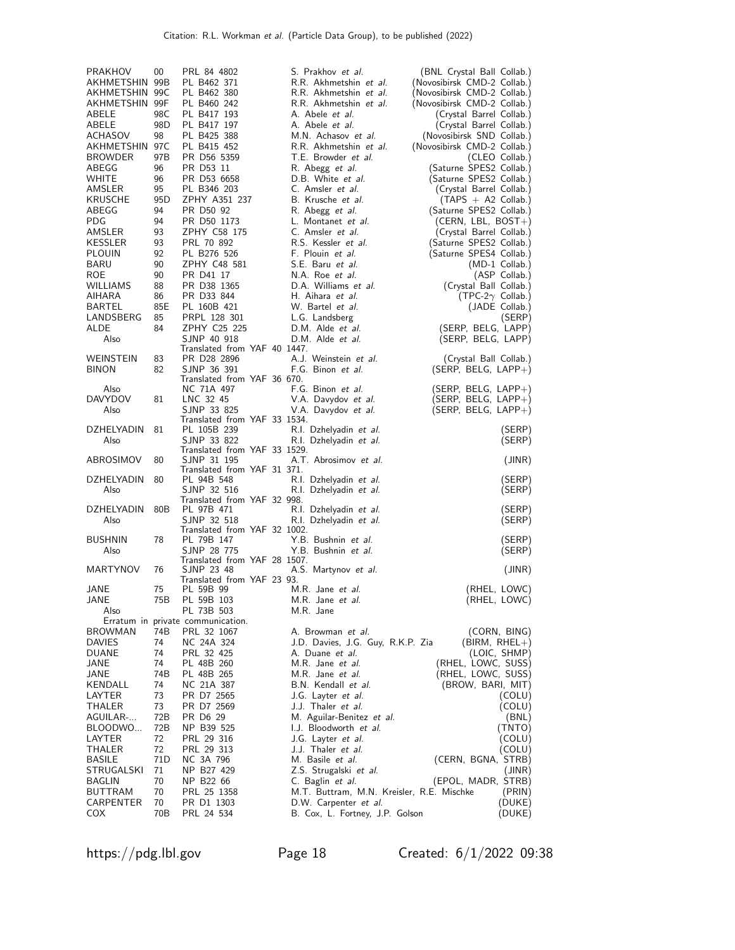| PRAKHOV                 | 00        | PRL 84 4802                                     | S. Prakhov et al.                                             | (BNL Crystal Ball Collab.)                           |
|-------------------------|-----------|-------------------------------------------------|---------------------------------------------------------------|------------------------------------------------------|
| AKHMETSHIN 99B          |           | PL B462 371                                     | R.R. Akhmetshin et al.                                        | (Novosibirsk CMD-2 Collab.)                          |
| AKHMETSHIN 99C          |           | PL B462 380                                     | R.R. Akhmetshin et al.                                        | (Novosibirsk CMD-2 Collab.)                          |
| AKHMETSHIN 99F<br>ABELE | 98C       | PL B460 242                                     | R.R. Akhmetshin et al.<br>A. Abele <i>et al.</i>              | (Novosibirsk CMD-2 Collab.)                          |
| ABELE                   | 98D       | PL B417 193<br>PL B417 197                      | A. Abele <i>et al.</i>                                        | (Crystal Barrel Collab.)<br>(Crystal Barrel Collab.) |
| ACHASOV                 | 98        | PL B425 388                                     | M.N. Achasov et al.                                           | (Novosibirsk SND Collab.)                            |
| AKHMETSHIN 97C          |           | PL B415 452                                     | R.R. Akhmetshin et al.                                        | (Novosibirsk CMD-2 Collab.)                          |
| <b>BROWDER</b>          | 97B       | PR D56 5359                                     | T.E. Browder et al.                                           | (CLEO Collab.)                                       |
| ABEGG                   | 96        | PR D53 11                                       | R. Abegg et al.                                               | (Saturne SPES2 Collab.)                              |
| WHITE                   | 96        | PR D53 6658                                     | D.B. White et al.                                             | (Saturne SPES2 Collab.)                              |
| AMSLER                  | 95        | PL B346 203                                     | C. Amsler et al.                                              | (Crystal Barrel Collab.)                             |
| KRUSCHE<br>ABEGG        | 95D<br>94 | ZPHY A351 237<br>PR D50 92                      | B. Krusche et al.                                             | $(TAPS + A2 Collab.)$<br>(Saturne SPES2 Collab.)     |
| PDG                     | 94        | PR D50 1173                                     | R. Abegg et al.<br>L. Montanet et al.                         | (CERN, LBL, BOST+)                                   |
| AMSLER                  | 93        | ZPHY C58 175                                    | C. Amsler <i>et al.</i>                                       | (Crystal Barrel Collab.)                             |
| KESSLER                 | 93        | PRL 70 892                                      | R.S. Kessler et al.                                           | (Saturne SPES2 Collab.)                              |
| <b>PLOUIN</b>           | 92        | PL B276 526                                     | F. Plouin et al.                                              | (Saturne SPES4 Collab.)                              |
| BARU                    | 90        | ZPHY C48 581                                    | S.E. Baru et al.                                              | $(MD-1$ Collab.)                                     |
| ROE.                    | 90        | PR D41 17                                       | N.A. Roe et al.                                               | (ASP Collab.)                                        |
| WILLIAMS                | 88        | PR D38 1365                                     | D.A. Williams et al.                                          | (Crystal Ball Collab.)                               |
| AIHARA<br>BARTEL        | 86<br>85E | PR D33 844<br>PL 160B 421                       | H. Aihara et al.<br>W. Bartel et al.                          | (TPC-2 $\gamma$ Collab.)<br>(JADE Collab.)           |
| LANDSBERG               | 85        | PRPL 128 301                                    | L.G. Landsberg                                                | (SERP)                                               |
| ALDE                    | 84        | ZPHY C25 225                                    | D.M. Alde et al.                                              | (SERP, BELG, LAPP)                                   |
| Also                    |           | SJNP 40 918                                     | D.M. Alde et al.                                              | (SERP, BELG, LAPP)                                   |
|                         |           | Translated from YAF 40 1447.                    |                                                               |                                                      |
| WEINSTEIN               | 83        | PR D28 2896                                     | A.J. Weinstein et al.                                         | (Crystal Ball Collab.)                               |
| <b>BINON</b>            | 82        | SJNP 36 391<br>Translated from YAF 36 670.      | F.G. Binon et al.                                             | $(SERP, BELG, LAP+)$                                 |
| Also                    |           | NC 71A 497                                      | F.G. Binon et al.                                             | $(SERP, BELG, LAP+)$                                 |
| <b>DAVYDOV</b>          | 81        | LNC 32 45                                       | V.A. Davydov et al.                                           | $(SERP, BELG, LAPP+)$                                |
| Also                    |           | SJNP 33 825                                     | V.A. Davydov et al.                                           | (SERP, BELG, LAPP+)                                  |
|                         |           | Translated from YAF 33 1534.                    |                                                               |                                                      |
| DZHELYADIN<br>Also      | 81        | PL 105B 239<br>SJNP 33 822                      | R.I. Dzhelyadin et al.<br>R.I. Dzhelyadin et al.              | (SERP)<br>(SERP)                                     |
|                         |           | Translated from YAF 33 1529.                    |                                                               |                                                      |
| ABROSIMOV               | 80        | SJNP 31 195                                     | A.T. Abrosimov et al.                                         | (JINR)                                               |
|                         |           | Translated from YAF 31 371.                     |                                                               |                                                      |
| DZHELYADIN              | 80        | PL 94B 548                                      | R.I. Dzhelyadin et al.                                        | (SERP)                                               |
| Also                    |           | SJNP 32 516<br>Translated from YAF 32 998.      | R.I. Dzhelyadin et al.                                        | (SERP)                                               |
| DZHELYADIN              | 80B       | PL 97B 471                                      | R.I. Dzhelyadin et al.                                        | (SERP)                                               |
| Also                    |           | SJNP 32 518                                     | R.I. Dzhelyadin et al.                                        | (SERP)                                               |
|                         |           | Translated from YAF 32 1002.                    |                                                               |                                                      |
| <b>BUSHNIN</b><br>Also  | 78        | PL 79B 147<br>SJNP 28 775                       | Y.B. Bushnin et al.                                           | (SERP)                                               |
|                         |           | Translated from YAF 28 1507.                    | Y.B. Bushnin et al.                                           | (SERP)                                               |
| <b>MARTYNOV</b>         | 76        | SJNP 23 48                                      | A.S. Martynov et al.                                          | (JINR)                                               |
|                         |           | Translated from YAF 23 93.                      |                                                               |                                                      |
| JANE                    | 75        | PL 59B 99                                       | M.R. Jane et al.                                              | (RHEL, LOWC)                                         |
| JANE<br>Also            | 75B       | PL 59B 103                                      | M.R. Jane et al.                                              | (RHEL, LOWC)                                         |
|                         |           | PL 73B 503<br>Erratum in private communication. | M.R. Jane                                                     |                                                      |
| <b>BROWMAN</b>          | 74B       | PRL 32 1067                                     | A. Browman et al.                                             | (CORN, BING)                                         |
| <b>DAVIES</b>           | 74        | NC 24A 324                                      | J.D. Davies, J.G. Guy, R.K.P. Zia                             | $(BIRM, RHEL+)$                                      |
| <b>DUANE</b>            | 74        | PRL 32 425                                      | A. Duane et al.                                               | (LOIC, SHMP)                                         |
| JANE                    | 74        | PL 48B 260                                      | M.R. Jane et al.                                              | (RHEL, LOWC, SUSS)                                   |
| JANE                    | 74B       | PL 48B 265                                      | M.R. Jane et al.                                              | (RHEL, LOWC, SUSS)                                   |
| KENDALL<br>LAYTER       | 74<br>73  | NC 21A 387                                      | B.N. Kendall et al.                                           | (BROW, BARI, MIT)                                    |
| THALER                  | 73        | PR D7 2565<br>PR D7 2569                        | J.G. Layter et al.<br>J.J. Thaler et al.                      | (COLU)<br>(COLU)                                     |
| AGUILAR-                | 72B       | PR D6 29                                        | M. Aguilar-Benitez et al.                                     | (BNL)                                                |
| BLOODWO                 | 72B       | NP B39 525                                      | I.J. Bloodworth et al.                                        | (TNTO)                                               |
| LAYTER                  | 72        | PRL 29 316                                      | J.G. Layter et al.                                            | (COLU)                                               |
| THALER                  | 72        | PRL 29 313                                      | J.J. Thaler et al.                                            | (COLU)                                               |
| <b>BASILE</b>           | 71D       | NC 3A 796                                       | M. Basile et al.                                              | (CERN, BGNA, STRB)                                   |
| STRUGALSKI<br>BAGLIN    | 71<br>70  | NP B27 429                                      | Z.S. Strugalski et al.                                        | (JINR)<br>(EPOL, MADR, STRB)                         |
| <b>BUTTRAM</b>          | 70        | NP B22 66<br>PRL 25 1358                        | C. Baglin et al.<br>M.T. Buttram, M.N. Kreisler, R.E. Mischke | (PRIN)                                               |
| CARPENTER               | 70        | PR D1 1303                                      | D.W. Carpenter et al.                                         | (DUKE)                                               |
| COX                     | 70B       | PRL 24 534                                      | B. Cox, L. Fortney, J.P. Golson                               | (DUKE)                                               |

https://pdg.lbl.gov Page 18 Created: 6/1/2022 09:38